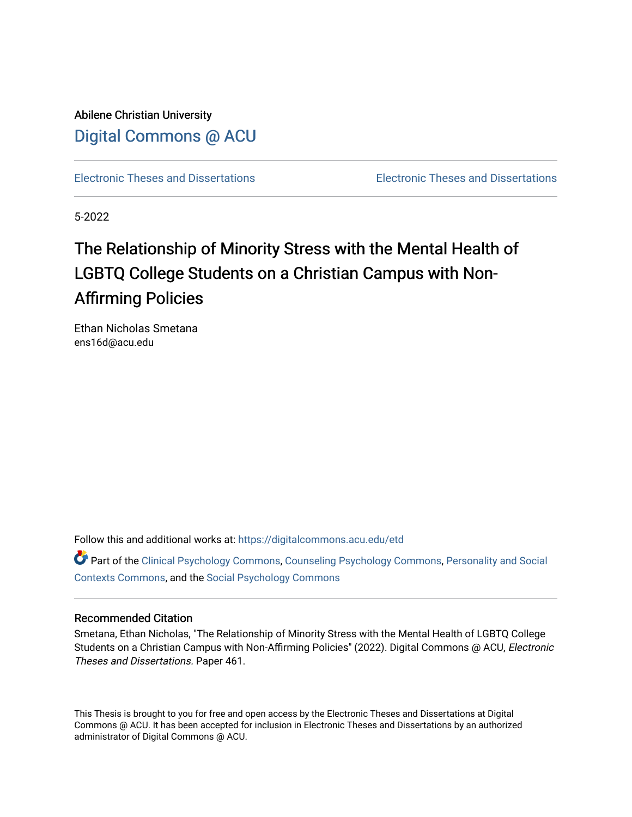Abilene Christian University [Digital Commons @ ACU](https://digitalcommons.acu.edu/)

[Electronic Theses and Dissertations](https://digitalcommons.acu.edu/etd) [Electronic Theses and Dissertations](https://digitalcommons.acu.edu/graduate_works) 

5-2022

# The Relationship of Minority Stress with the Mental Health of LGBTQ College Students on a Christian Campus with Non-Affirming Policies

Ethan Nicholas Smetana ens16d@acu.edu

Follow this and additional works at: [https://digitalcommons.acu.edu/etd](https://digitalcommons.acu.edu/etd?utm_source=digitalcommons.acu.edu%2Fetd%2F461&utm_medium=PDF&utm_campaign=PDFCoverPages) 

Part of the [Clinical Psychology Commons,](http://network.bepress.com/hgg/discipline/406?utm_source=digitalcommons.acu.edu%2Fetd%2F461&utm_medium=PDF&utm_campaign=PDFCoverPages) [Counseling Psychology Commons](http://network.bepress.com/hgg/discipline/1044?utm_source=digitalcommons.acu.edu%2Fetd%2F461&utm_medium=PDF&utm_campaign=PDFCoverPages), Personality and Social [Contexts Commons](http://network.bepress.com/hgg/discipline/413?utm_source=digitalcommons.acu.edu%2Fetd%2F461&utm_medium=PDF&utm_campaign=PDFCoverPages), and the [Social Psychology Commons](http://network.bepress.com/hgg/discipline/414?utm_source=digitalcommons.acu.edu%2Fetd%2F461&utm_medium=PDF&utm_campaign=PDFCoverPages) 

#### Recommended Citation

Smetana, Ethan Nicholas, "The Relationship of Minority Stress with the Mental Health of LGBTQ College Students on a Christian Campus with Non-Affirming Policies" (2022). Digital Commons @ ACU, Electronic Theses and Dissertations. Paper 461.

This Thesis is brought to you for free and open access by the Electronic Theses and Dissertations at Digital Commons @ ACU. It has been accepted for inclusion in Electronic Theses and Dissertations by an authorized administrator of Digital Commons @ ACU.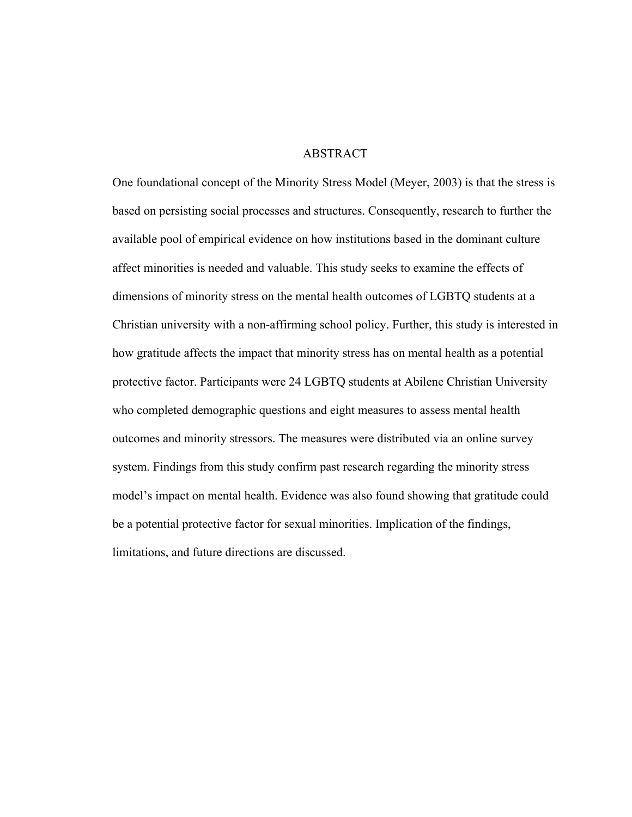### ABSTRACT

One foundational concept of the Minority Stress Model (Meyer, 2003) is that the stress is based on persisting social processes and structures. Consequently, research to further the available pool of empirical evidence on how institutions based in the dominant culture affect minorities is needed and valuable. This study seeks to examine the effects of dimensions of minority stress on the mental health outcomes of LGBTQ students at a Christian university with a non-affirming school policy. Further, this study is interested in how gratitude affects the impact that minority stress has on mental health as a potential protective factor. Participants were 24 LGBTQ students at Abilene Christian University who completed demographic questions and eight measures to assess mental health outcomes and minority stressors. The measures were distributed via an online survey system. Findings from this study confirm past research regarding the minority stress model's impact on mental health. Evidence was also found showing that gratitude could be a potential protective factor for sexual minorities. Implication of the findings, limitations, and future directions are discussed.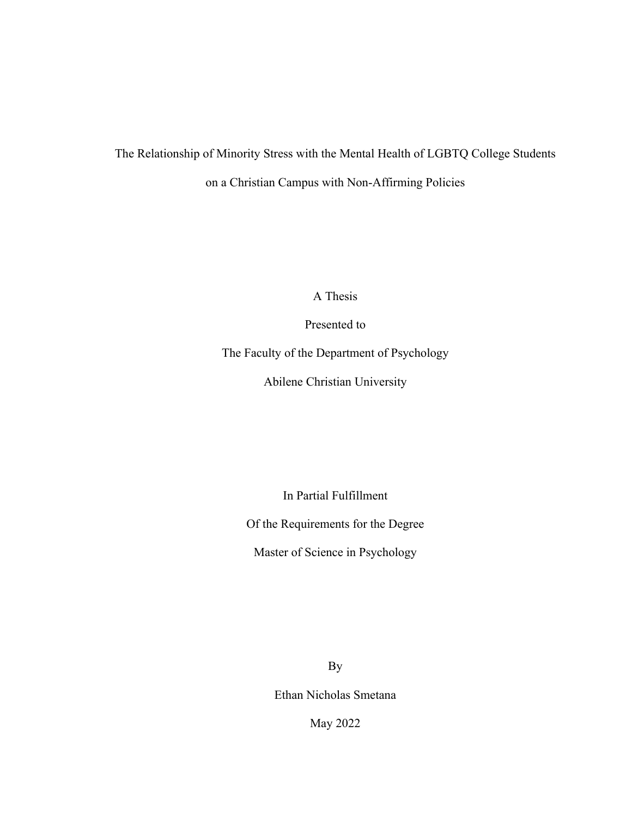# The Relationship of Minority Stress with the Mental Health of LGBTQ College Students on a Christian Campus with Non-Affirming Policies

A Thesis

Presented to

The Faculty of the Department of Psychology

Abilene Christian University

In Partial Fulfillment

Of the Requirements for the Degree

Master of Science in Psychology

By

Ethan Nicholas Smetana

May 2022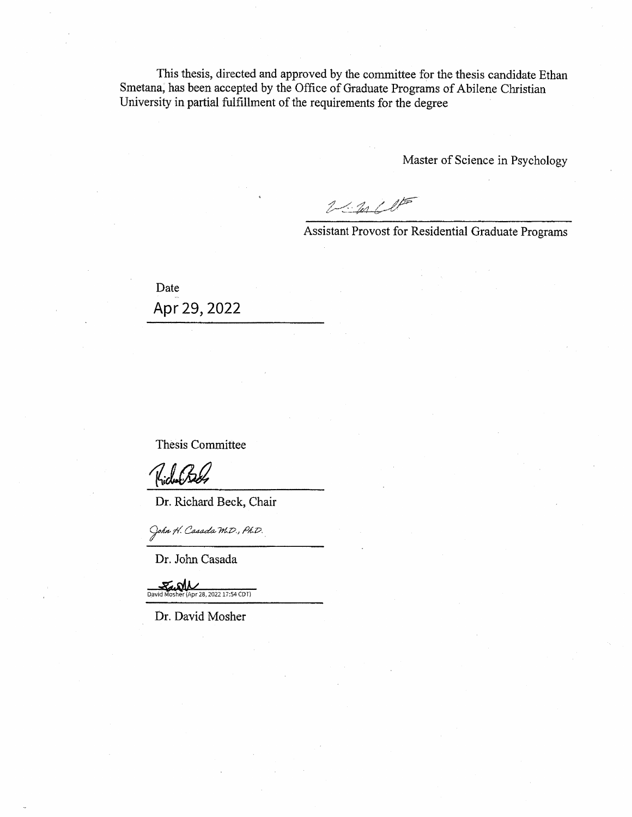This thesis, directed and approved by the committee for the thesis candidate Ethan Smetana, has been accepted by the Office of Graduate Programs of Abilene Christian University in partial fulfillment of the requirements for the degree

Master of Science in Psychology

 $2\leq n+l$ 

Assistant Provost for Residential Graduate Programs

Date Apr 29, 2022

Thesis Committee

Kidubaa

Dr. Richard Beck, Chair

- John H. Casada M.D., Ph.D.

Dr. John Casada

لمارى David Apr 28, 2022 17:54 CDT)

Dr. David Mosher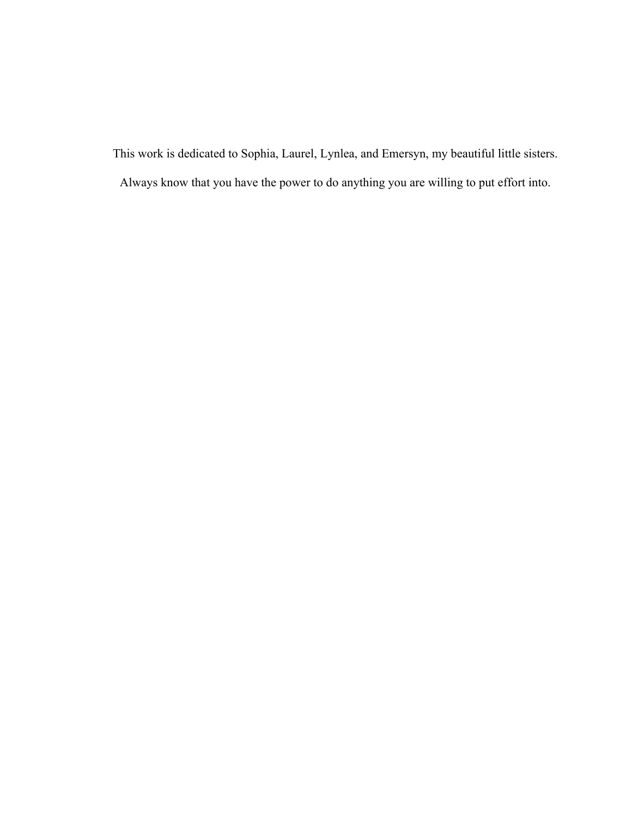This work is dedicated to Sophia, Laurel, Lynlea, and Emersyn, my beautiful little sisters.

Always know that you have the power to do anything you are willing to put effort into.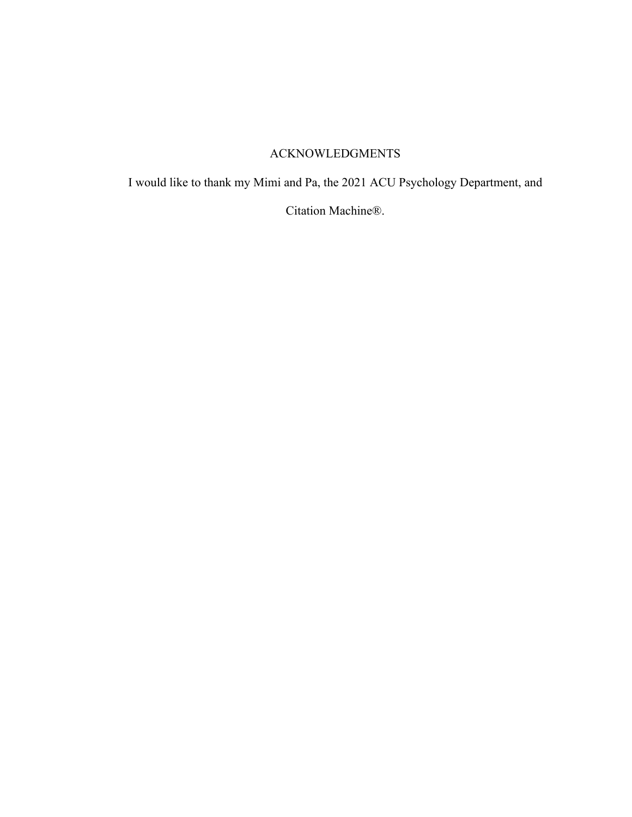## ACKNOWLEDGMENTS

I would like to thank my Mimi and Pa, the 2021 ACU Psychology Department, and

Citation Machine®.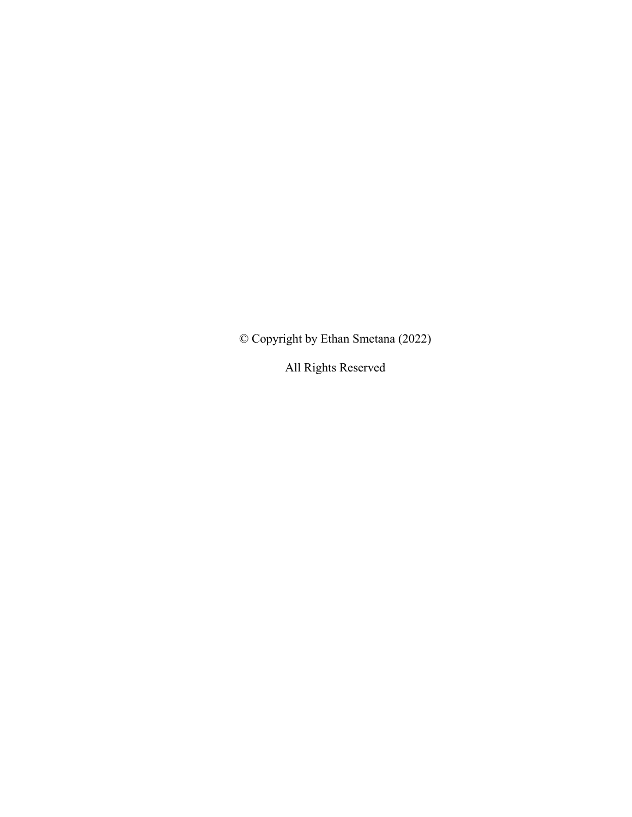© Copyright by Ethan Smetana (2022)

All Rights Reserved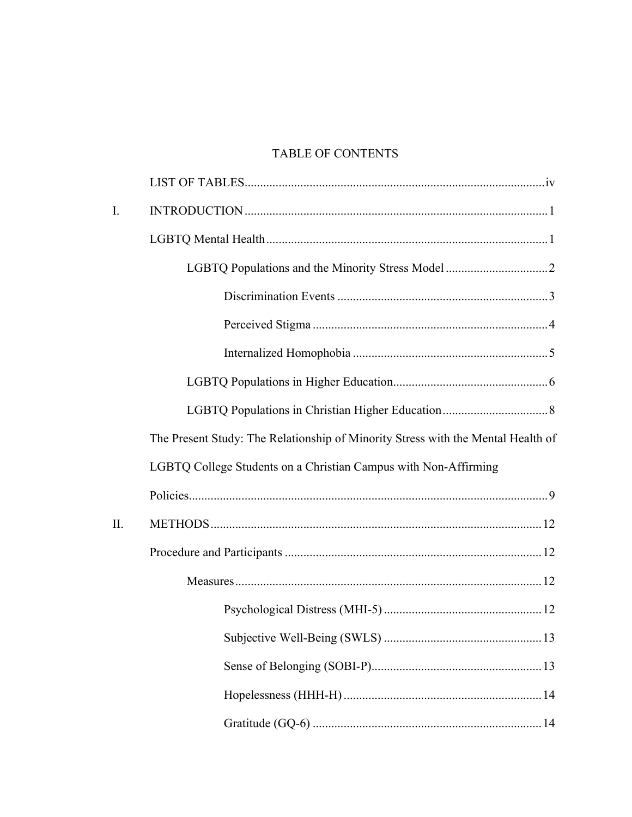## TABLE OF CONTENTS

| $\mathbf{I}$ . |                                                                                  |
|----------------|----------------------------------------------------------------------------------|
|                |                                                                                  |
|                |                                                                                  |
|                |                                                                                  |
|                |                                                                                  |
|                |                                                                                  |
|                |                                                                                  |
|                |                                                                                  |
|                | The Present Study: The Relationship of Minority Stress with the Mental Health of |
|                | LGBTQ College Students on a Christian Campus with Non-Affirming                  |
|                |                                                                                  |
| II.            |                                                                                  |
|                |                                                                                  |
|                |                                                                                  |
|                |                                                                                  |
|                |                                                                                  |
|                |                                                                                  |
|                |                                                                                  |
|                |                                                                                  |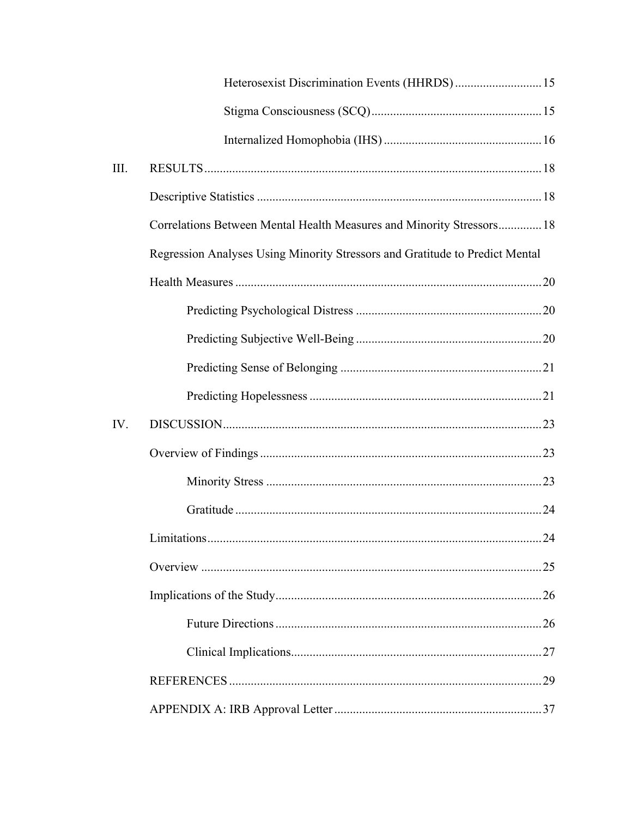|      | Heterosexist Discrimination Events (HHRDS) 15                                |  |
|------|------------------------------------------------------------------------------|--|
|      |                                                                              |  |
|      |                                                                              |  |
| III. |                                                                              |  |
|      |                                                                              |  |
|      | Correlations Between Mental Health Measures and Minority Stressors 18        |  |
|      | Regression Analyses Using Minority Stressors and Gratitude to Predict Mental |  |
|      |                                                                              |  |
|      |                                                                              |  |
|      |                                                                              |  |
|      |                                                                              |  |
|      |                                                                              |  |
| IV.  |                                                                              |  |
|      |                                                                              |  |
|      |                                                                              |  |
|      |                                                                              |  |
|      |                                                                              |  |
|      |                                                                              |  |
|      |                                                                              |  |
|      |                                                                              |  |
|      |                                                                              |  |
|      |                                                                              |  |
|      |                                                                              |  |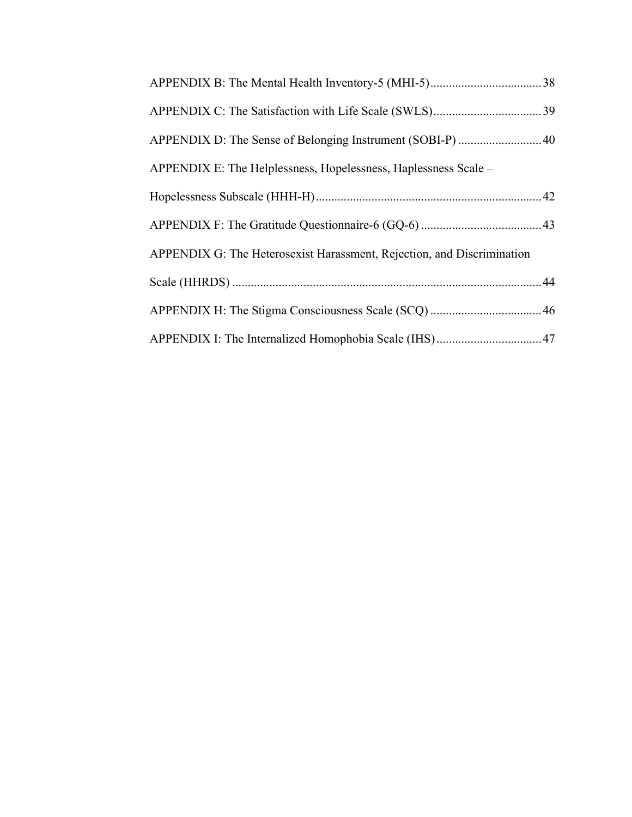| APPENDIX D: The Sense of Belonging Instrument (SOBI-P) 40              |  |
|------------------------------------------------------------------------|--|
| APPENDIX E: The Helplessness, Hopelessness, Haplessness Scale –        |  |
|                                                                        |  |
|                                                                        |  |
| APPENDIX G: The Heterosexist Harassment, Rejection, and Discrimination |  |
|                                                                        |  |
|                                                                        |  |
|                                                                        |  |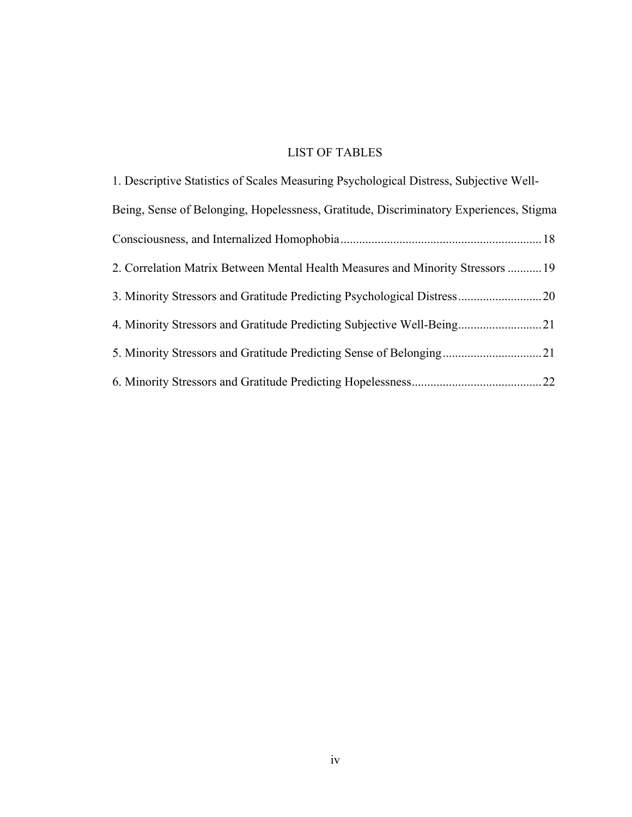## LIST OF TABLES

| 1. Descriptive Statistics of Scales Measuring Psychological Distress, Subjective Well- |
|----------------------------------------------------------------------------------------|
| Being, Sense of Belonging, Hopelessness, Gratitude, Discriminatory Experiences, Stigma |
|                                                                                        |
| 2. Correlation Matrix Between Mental Health Measures and Minority Stressors  19        |
|                                                                                        |
| 4. Minority Stressors and Gratitude Predicting Subjective Well-Being21                 |
| 5. Minority Stressors and Gratitude Predicting Sense of Belonging21                    |
|                                                                                        |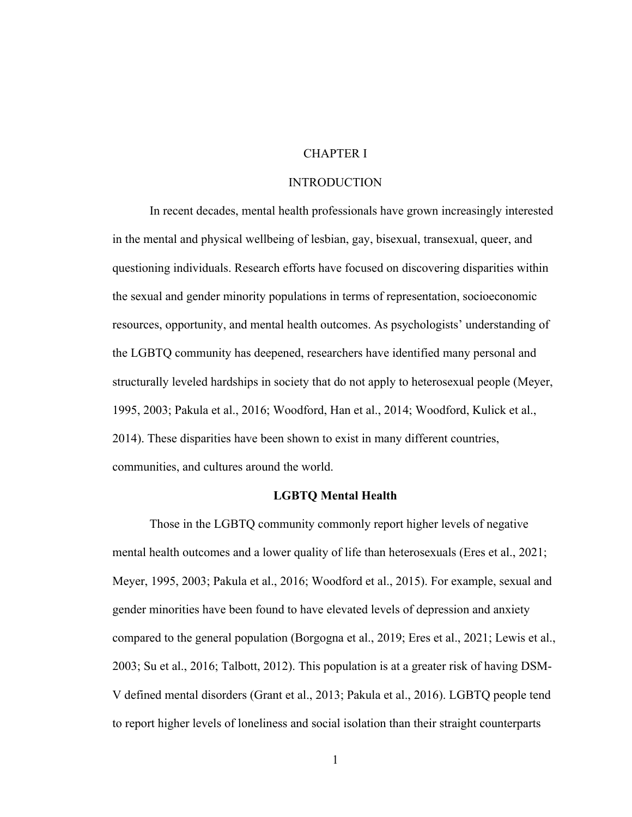## CHAPTER I

#### INTRODUCTION

In recent decades, mental health professionals have grown increasingly interested in the mental and physical wellbeing of lesbian, gay, bisexual, transexual, queer, and questioning individuals. Research efforts have focused on discovering disparities within the sexual and gender minority populations in terms of representation, socioeconomic resources, opportunity, and mental health outcomes. As psychologists' understanding of the LGBTQ community has deepened, researchers have identified many personal and structurally leveled hardships in society that do not apply to heterosexual people (Meyer, 1995, 2003; Pakula et al., 2016; Woodford, Han et al., 2014; Woodford, Kulick et al., 2014). These disparities have been shown to exist in many different countries, communities, and cultures around the world.

#### **LGBTQ Mental Health**

Those in the LGBTQ community commonly report higher levels of negative mental health outcomes and a lower quality of life than heterosexuals (Eres et al., 2021; Meyer, 1995, 2003; Pakula et al., 2016; Woodford et al., 2015). For example, sexual and gender minorities have been found to have elevated levels of depression and anxiety compared to the general population (Borgogna et al., 2019; Eres et al., 2021; Lewis et al., 2003; Su et al., 2016; Talbott, 2012). This population is at a greater risk of having DSM-V defined mental disorders (Grant et al., 2013; Pakula et al., 2016). LGBTQ people tend to report higher levels of loneliness and social isolation than their straight counterparts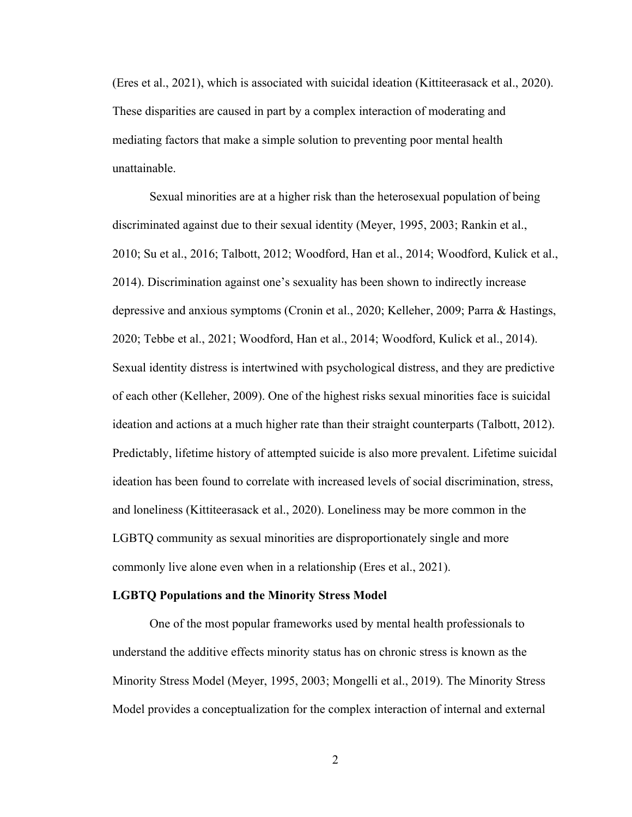(Eres et al., 2021), which is associated with suicidal ideation (Kittiteerasack et al., 2020). These disparities are caused in part by a complex interaction of moderating and mediating factors that make a simple solution to preventing poor mental health unattainable.

Sexual minorities are at a higher risk than the heterosexual population of being discriminated against due to their sexual identity (Meyer, 1995, 2003; Rankin et al., 2010; Su et al., 2016; Talbott, 2012; Woodford, Han et al., 2014; Woodford, Kulick et al., 2014). Discrimination against one's sexuality has been shown to indirectly increase depressive and anxious symptoms (Cronin et al., 2020; Kelleher, 2009; Parra & Hastings, 2020; Tebbe et al., 2021; Woodford, Han et al., 2014; Woodford, Kulick et al., 2014). Sexual identity distress is intertwined with psychological distress, and they are predictive of each other (Kelleher, 2009). One of the highest risks sexual minorities face is suicidal ideation and actions at a much higher rate than their straight counterparts (Talbott, 2012). Predictably, lifetime history of attempted suicide is also more prevalent. Lifetime suicidal ideation has been found to correlate with increased levels of social discrimination, stress, and loneliness (Kittiteerasack et al., 2020). Loneliness may be more common in the LGBTQ community as sexual minorities are disproportionately single and more commonly live alone even when in a relationship (Eres et al., 2021).

## **LGBTQ Populations and the Minority Stress Model**

One of the most popular frameworks used by mental health professionals to understand the additive effects minority status has on chronic stress is known as the Minority Stress Model (Meyer, 1995, 2003; Mongelli et al., 2019). The Minority Stress Model provides a conceptualization for the complex interaction of internal and external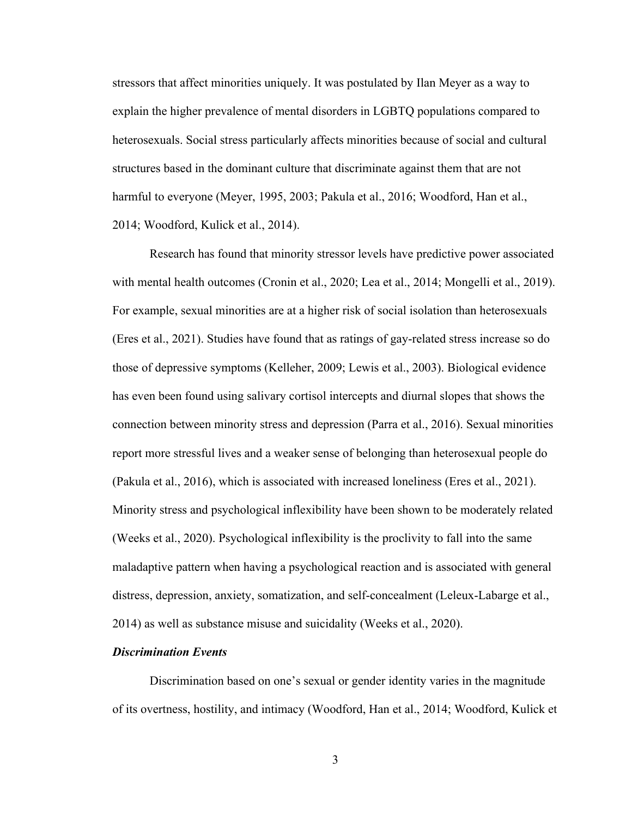stressors that affect minorities uniquely. It was postulated by Ilan Meyer as a way to explain the higher prevalence of mental disorders in LGBTQ populations compared to heterosexuals. Social stress particularly affects minorities because of social and cultural structures based in the dominant culture that discriminate against them that are not harmful to everyone (Meyer, 1995, 2003; Pakula et al., 2016; Woodford, Han et al., 2014; Woodford, Kulick et al., 2014).

Research has found that minority stressor levels have predictive power associated with mental health outcomes (Cronin et al., 2020; Lea et al., 2014; Mongelli et al., 2019). For example, sexual minorities are at a higher risk of social isolation than heterosexuals (Eres et al., 2021). Studies have found that as ratings of gay-related stress increase so do those of depressive symptoms (Kelleher, 2009; Lewis et al., 2003). Biological evidence has even been found using salivary cortisol intercepts and diurnal slopes that shows the connection between minority stress and depression (Parra et al., 2016). Sexual minorities report more stressful lives and a weaker sense of belonging than heterosexual people do (Pakula et al., 2016), which is associated with increased loneliness (Eres et al., 2021). Minority stress and psychological inflexibility have been shown to be moderately related (Weeks et al., 2020). Psychological inflexibility is the proclivity to fall into the same maladaptive pattern when having a psychological reaction and is associated with general distress, depression, anxiety, somatization, and self-concealment (Leleux-Labarge et al., 2014) as well as substance misuse and suicidality (Weeks et al., 2020).

## *Discrimination Events*

Discrimination based on one's sexual or gender identity varies in the magnitude of its overtness, hostility, and intimacy (Woodford, Han et al., 2014; Woodford, Kulick et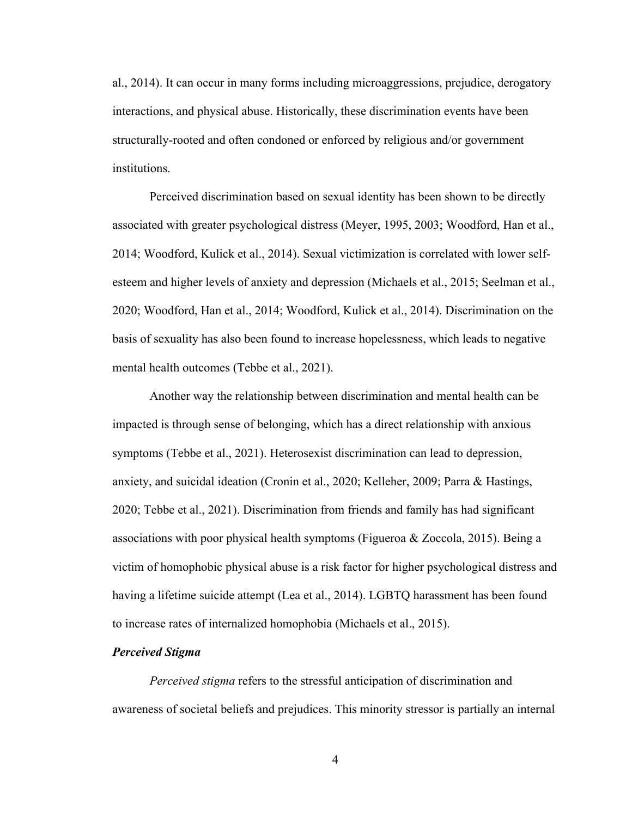al., 2014). It can occur in many forms including microaggressions, prejudice, derogatory interactions, and physical abuse. Historically, these discrimination events have been structurally-rooted and often condoned or enforced by religious and/or government institutions.

Perceived discrimination based on sexual identity has been shown to be directly associated with greater psychological distress (Meyer, 1995, 2003; Woodford, Han et al., 2014; Woodford, Kulick et al., 2014). Sexual victimization is correlated with lower selfesteem and higher levels of anxiety and depression (Michaels et al., 2015; Seelman et al., 2020; Woodford, Han et al., 2014; Woodford, Kulick et al., 2014). Discrimination on the basis of sexuality has also been found to increase hopelessness, which leads to negative mental health outcomes (Tebbe et al., 2021).

Another way the relationship between discrimination and mental health can be impacted is through sense of belonging, which has a direct relationship with anxious symptoms (Tebbe et al., 2021). Heterosexist discrimination can lead to depression, anxiety, and suicidal ideation (Cronin et al., 2020; Kelleher, 2009; Parra & Hastings, 2020; Tebbe et al., 2021). Discrimination from friends and family has had significant associations with poor physical health symptoms (Figueroa & Zoccola, 2015). Being a victim of homophobic physical abuse is a risk factor for higher psychological distress and having a lifetime suicide attempt (Lea et al., 2014). LGBTQ harassment has been found to increase rates of internalized homophobia (Michaels et al., 2015).

#### *Perceived Stigma*

*Perceived stigma* refers to the stressful anticipation of discrimination and awareness of societal beliefs and prejudices. This minority stressor is partially an internal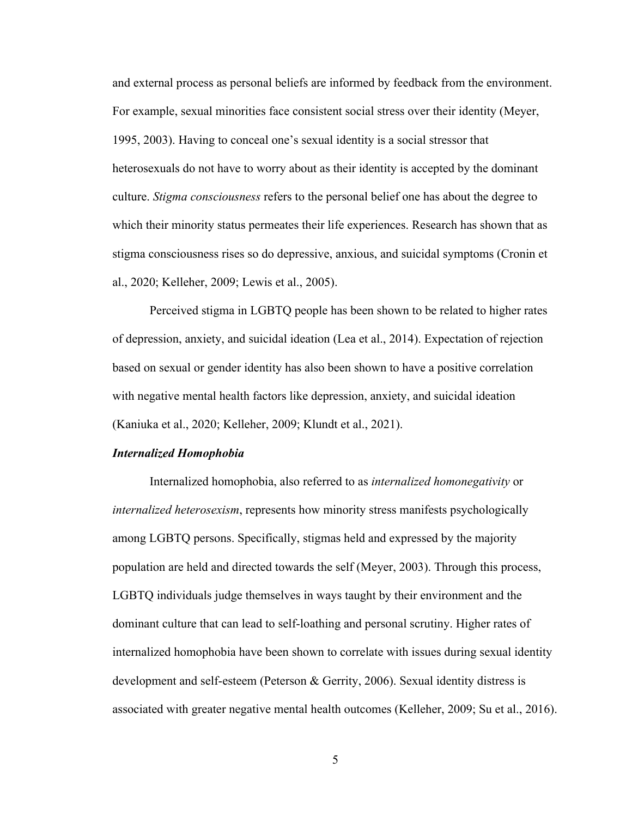and external process as personal beliefs are informed by feedback from the environment. For example, sexual minorities face consistent social stress over their identity (Meyer, 1995, 2003). Having to conceal one's sexual identity is a social stressor that heterosexuals do not have to worry about as their identity is accepted by the dominant culture. *Stigma consciousness* refers to the personal belief one has about the degree to which their minority status permeates their life experiences. Research has shown that as stigma consciousness rises so do depressive, anxious, and suicidal symptoms (Cronin et al., 2020; Kelleher, 2009; Lewis et al., 2005).

Perceived stigma in LGBTQ people has been shown to be related to higher rates of depression, anxiety, and suicidal ideation (Lea et al., 2014). Expectation of rejection based on sexual or gender identity has also been shown to have a positive correlation with negative mental health factors like depression, anxiety, and suicidal ideation (Kaniuka et al., 2020; Kelleher, 2009; Klundt et al., 2021).

#### *Internalized Homophobia*

Internalized homophobia, also referred to as *internalized homonegativity* or *internalized heterosexism*, represents how minority stress manifests psychologically among LGBTQ persons. Specifically, stigmas held and expressed by the majority population are held and directed towards the self (Meyer, 2003). Through this process, LGBTQ individuals judge themselves in ways taught by their environment and the dominant culture that can lead to self-loathing and personal scrutiny. Higher rates of internalized homophobia have been shown to correlate with issues during sexual identity development and self-esteem (Peterson & Gerrity, 2006). Sexual identity distress is associated with greater negative mental health outcomes (Kelleher, 2009; Su et al., 2016).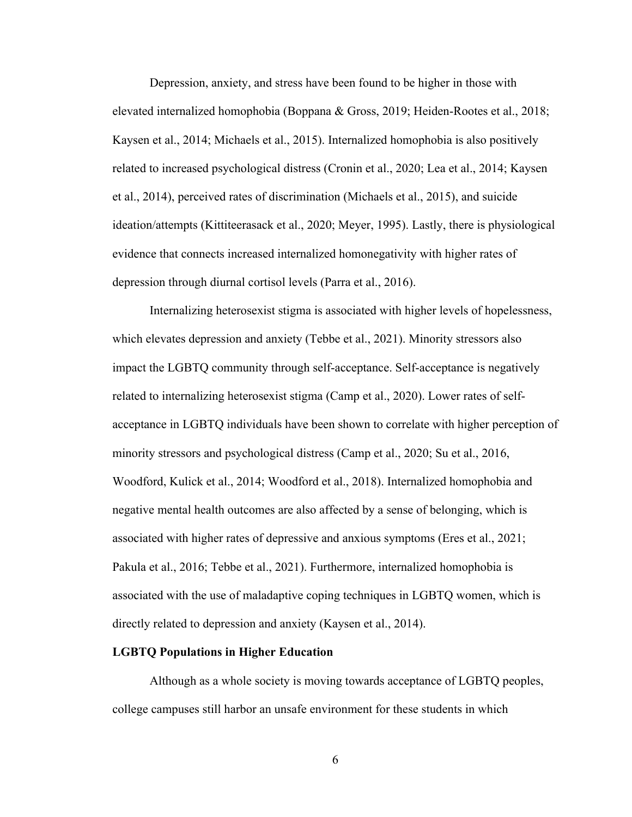Depression, anxiety, and stress have been found to be higher in those with elevated internalized homophobia (Boppana & Gross, 2019; Heiden-Rootes et al., 2018; Kaysen et al., 2014; Michaels et al., 2015). Internalized homophobia is also positively related to increased psychological distress (Cronin et al., 2020; Lea et al., 2014; Kaysen et al., 2014), perceived rates of discrimination (Michaels et al., 2015), and suicide ideation/attempts (Kittiteerasack et al., 2020; Meyer, 1995). Lastly, there is physiological evidence that connects increased internalized homonegativity with higher rates of depression through diurnal cortisol levels (Parra et al., 2016).

Internalizing heterosexist stigma is associated with higher levels of hopelessness, which elevates depression and anxiety (Tebbe et al., 2021). Minority stressors also impact the LGBTQ community through self-acceptance. Self-acceptance is negatively related to internalizing heterosexist stigma (Camp et al., 2020). Lower rates of selfacceptance in LGBTQ individuals have been shown to correlate with higher perception of minority stressors and psychological distress (Camp et al., 2020; Su et al., 2016, Woodford, Kulick et al., 2014; Woodford et al., 2018). Internalized homophobia and negative mental health outcomes are also affected by a sense of belonging, which is associated with higher rates of depressive and anxious symptoms (Eres et al., 2021; Pakula et al., 2016; Tebbe et al., 2021). Furthermore, internalized homophobia is associated with the use of maladaptive coping techniques in LGBTQ women, which is directly related to depression and anxiety (Kaysen et al., 2014).

#### **LGBTQ Populations in Higher Education**

Although as a whole society is moving towards acceptance of LGBTQ peoples, college campuses still harbor an unsafe environment for these students in which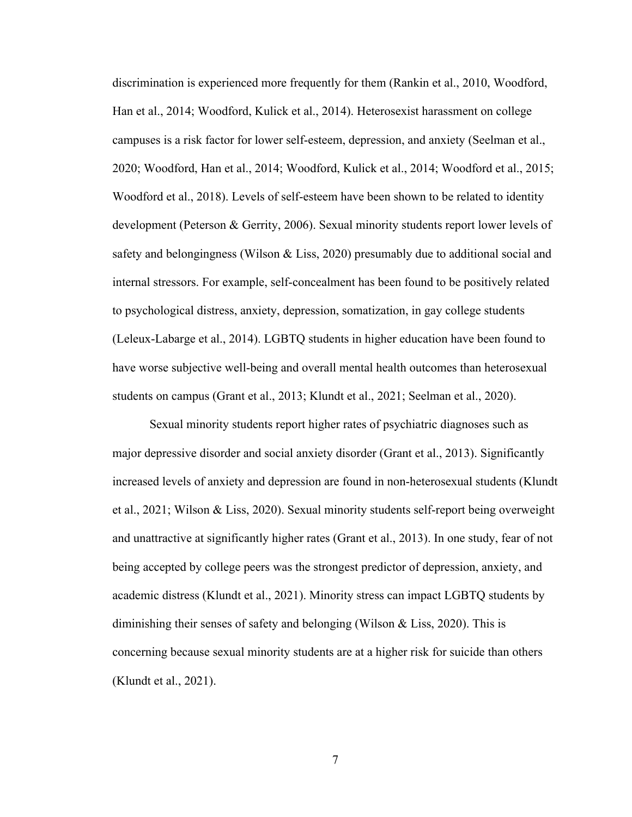discrimination is experienced more frequently for them (Rankin et al., 2010, Woodford, Han et al., 2014; Woodford, Kulick et al., 2014). Heterosexist harassment on college campuses is a risk factor for lower self-esteem, depression, and anxiety (Seelman et al., 2020; Woodford, Han et al., 2014; Woodford, Kulick et al., 2014; Woodford et al., 2015; Woodford et al., 2018). Levels of self-esteem have been shown to be related to identity development (Peterson & Gerrity, 2006). Sexual minority students report lower levels of safety and belongingness (Wilson & Liss, 2020) presumably due to additional social and internal stressors. For example, self-concealment has been found to be positively related to psychological distress, anxiety, depression, somatization, in gay college students (Leleux-Labarge et al., 2014). LGBTQ students in higher education have been found to have worse subjective well-being and overall mental health outcomes than heterosexual students on campus (Grant et al., 2013; Klundt et al., 2021; Seelman et al., 2020).

Sexual minority students report higher rates of psychiatric diagnoses such as major depressive disorder and social anxiety disorder (Grant et al., 2013). Significantly increased levels of anxiety and depression are found in non-heterosexual students (Klundt et al., 2021; Wilson & Liss, 2020). Sexual minority students self-report being overweight and unattractive at significantly higher rates (Grant et al., 2013). In one study, fear of not being accepted by college peers was the strongest predictor of depression, anxiety, and academic distress (Klundt et al., 2021). Minority stress can impact LGBTQ students by diminishing their senses of safety and belonging (Wilson & Liss, 2020). This is concerning because sexual minority students are at a higher risk for suicide than others (Klundt et al., 2021).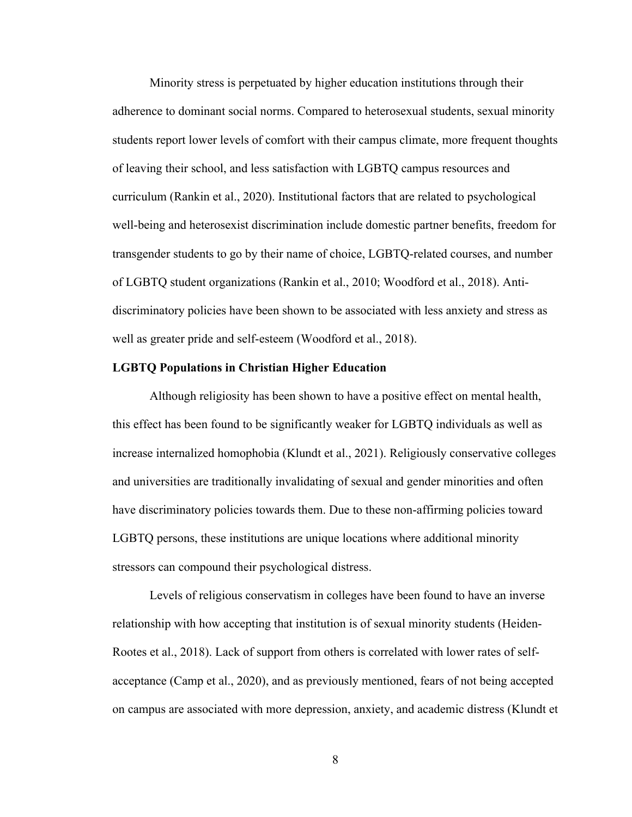Minority stress is perpetuated by higher education institutions through their adherence to dominant social norms. Compared to heterosexual students, sexual minority students report lower levels of comfort with their campus climate, more frequent thoughts of leaving their school, and less satisfaction with LGBTQ campus resources and curriculum (Rankin et al., 2020). Institutional factors that are related to psychological well-being and heterosexist discrimination include domestic partner benefits, freedom for transgender students to go by their name of choice, LGBTQ-related courses, and number of LGBTQ student organizations (Rankin et al., 2010; Woodford et al., 2018). Antidiscriminatory policies have been shown to be associated with less anxiety and stress as well as greater pride and self-esteem (Woodford et al., 2018).

#### **LGBTQ Populations in Christian Higher Education**

Although religiosity has been shown to have a positive effect on mental health, this effect has been found to be significantly weaker for LGBTQ individuals as well as increase internalized homophobia (Klundt et al., 2021). Religiously conservative colleges and universities are traditionally invalidating of sexual and gender minorities and often have discriminatory policies towards them. Due to these non-affirming policies toward LGBTQ persons, these institutions are unique locations where additional minority stressors can compound their psychological distress.

Levels of religious conservatism in colleges have been found to have an inverse relationship with how accepting that institution is of sexual minority students (Heiden-Rootes et al., 2018). Lack of support from others is correlated with lower rates of selfacceptance (Camp et al., 2020), and as previously mentioned, fears of not being accepted on campus are associated with more depression, anxiety, and academic distress (Klundt et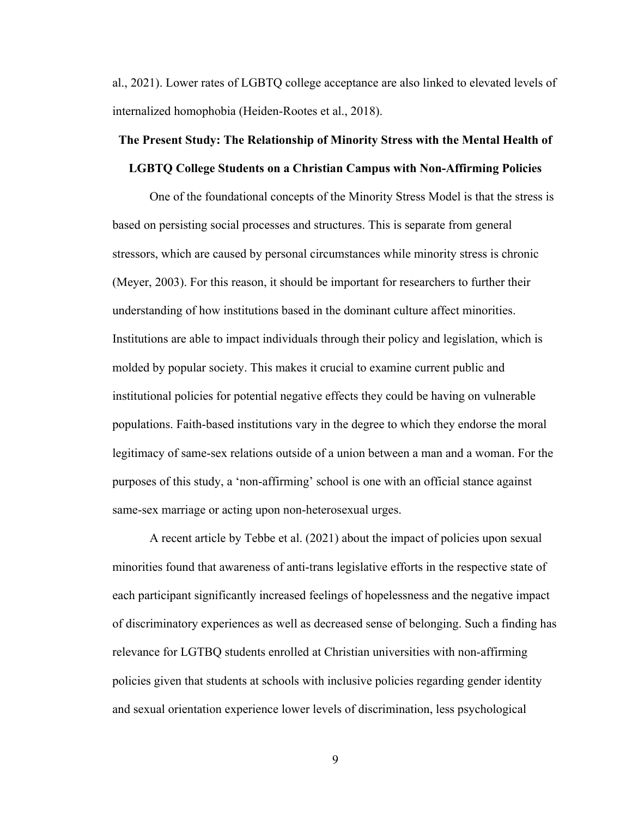al., 2021). Lower rates of LGBTQ college acceptance are also linked to elevated levels of internalized homophobia (Heiden-Rootes et al., 2018).

# **The Present Study: The Relationship of Minority Stress with the Mental Health of**

#### **LGBTQ College Students on a Christian Campus with Non-Affirming Policies**

One of the foundational concepts of the Minority Stress Model is that the stress is based on persisting social processes and structures. This is separate from general stressors, which are caused by personal circumstances while minority stress is chronic (Meyer, 2003). For this reason, it should be important for researchers to further their understanding of how institutions based in the dominant culture affect minorities. Institutions are able to impact individuals through their policy and legislation, which is molded by popular society. This makes it crucial to examine current public and institutional policies for potential negative effects they could be having on vulnerable populations. Faith-based institutions vary in the degree to which they endorse the moral legitimacy of same-sex relations outside of a union between a man and a woman. For the purposes of this study, a 'non-affirming' school is one with an official stance against same-sex marriage or acting upon non-heterosexual urges.

A recent article by Tebbe et al. (2021) about the impact of policies upon sexual minorities found that awareness of anti-trans legislative efforts in the respective state of each participant significantly increased feelings of hopelessness and the negative impact of discriminatory experiences as well as decreased sense of belonging. Such a finding has relevance for LGTBQ students enrolled at Christian universities with non-affirming policies given that students at schools with inclusive policies regarding gender identity and sexual orientation experience lower levels of discrimination, less psychological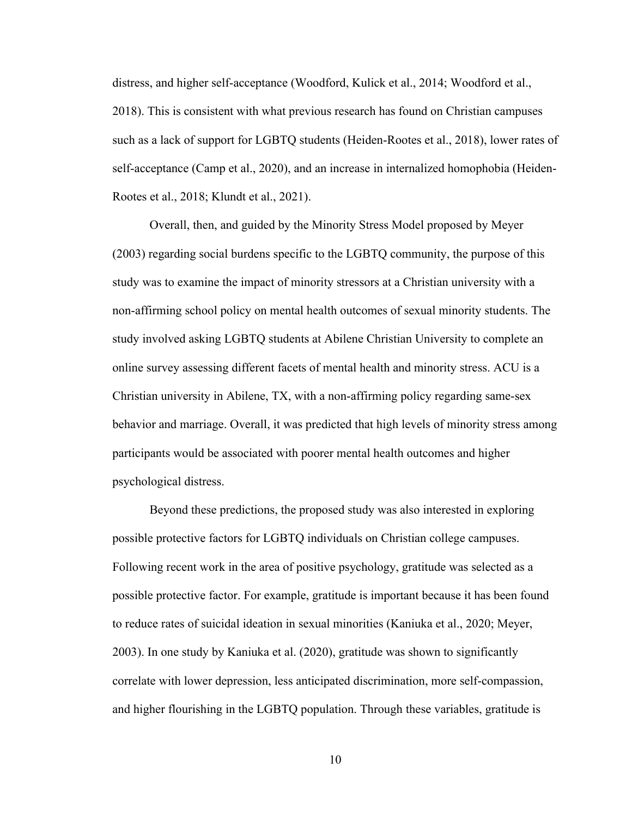distress, and higher self-acceptance (Woodford, Kulick et al., 2014; Woodford et al., 2018). This is consistent with what previous research has found on Christian campuses such as a lack of support for LGBTQ students (Heiden-Rootes et al., 2018), lower rates of self-acceptance (Camp et al., 2020), and an increase in internalized homophobia (Heiden-Rootes et al., 2018; Klundt et al., 2021).

Overall, then, and guided by the Minority Stress Model proposed by Meyer (2003) regarding social burdens specific to the LGBTQ community, the purpose of this study was to examine the impact of minority stressors at a Christian university with a non-affirming school policy on mental health outcomes of sexual minority students. The study involved asking LGBTQ students at Abilene Christian University to complete an online survey assessing different facets of mental health and minority stress. ACU is a Christian university in Abilene, TX, with a non-affirming policy regarding same-sex behavior and marriage. Overall, it was predicted that high levels of minority stress among participants would be associated with poorer mental health outcomes and higher psychological distress.

Beyond these predictions, the proposed study was also interested in exploring possible protective factors for LGBTQ individuals on Christian college campuses. Following recent work in the area of positive psychology, gratitude was selected as a possible protective factor. For example, gratitude is important because it has been found to reduce rates of suicidal ideation in sexual minorities (Kaniuka et al., 2020; Meyer, 2003). In one study by Kaniuka et al. (2020), gratitude was shown to significantly correlate with lower depression, less anticipated discrimination, more self-compassion, and higher flourishing in the LGBTQ population. Through these variables, gratitude is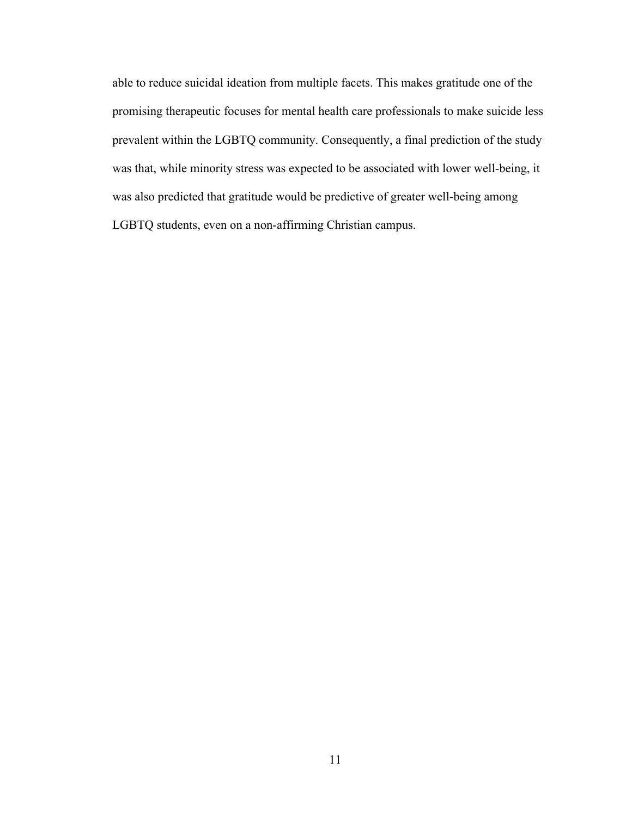able to reduce suicidal ideation from multiple facets. This makes gratitude one of the promising therapeutic focuses for mental health care professionals to make suicide less prevalent within the LGBTQ community. Consequently, a final prediction of the study was that, while minority stress was expected to be associated with lower well-being, it was also predicted that gratitude would be predictive of greater well-being among LGBTQ students, even on a non-affirming Christian campus.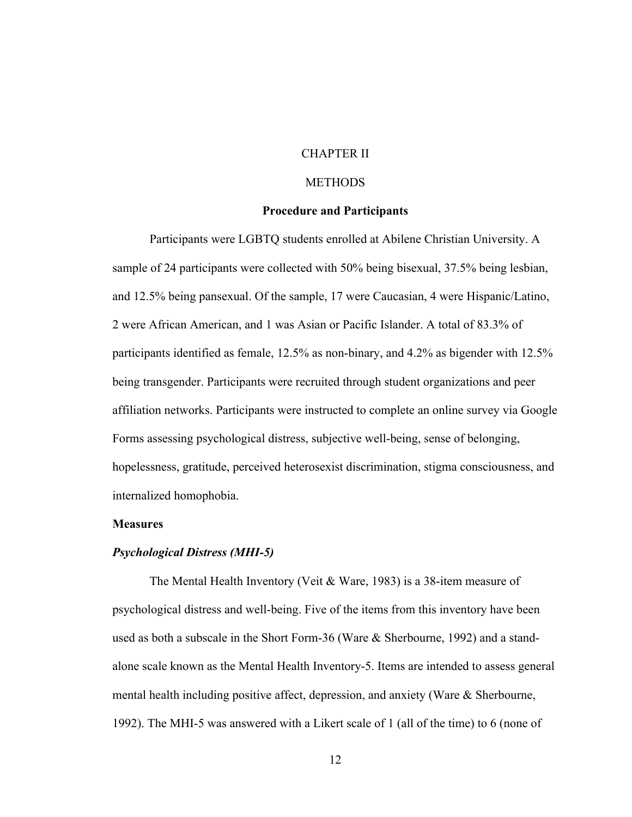## CHAPTER II

## **METHODS**

#### **Procedure and Participants**

Participants were LGBTQ students enrolled at Abilene Christian University. A sample of 24 participants were collected with 50% being bisexual, 37.5% being lesbian, and 12.5% being pansexual. Of the sample, 17 were Caucasian, 4 were Hispanic/Latino, 2 were African American, and 1 was Asian or Pacific Islander. A total of 83.3% of participants identified as female, 12.5% as non-binary, and 4.2% as bigender with 12.5% being transgender. Participants were recruited through student organizations and peer affiliation networks. Participants were instructed to complete an online survey via Google Forms assessing psychological distress, subjective well-being, sense of belonging, hopelessness, gratitude, perceived heterosexist discrimination, stigma consciousness, and internalized homophobia.

#### **Measures**

#### *Psychological Distress (MHI-5)*

The Mental Health Inventory (Veit & Ware, 1983) is a 38-item measure of psychological distress and well-being. Five of the items from this inventory have been used as both a subscale in the Short Form-36 (Ware & Sherbourne, 1992) and a standalone scale known as the Mental Health Inventory-5. Items are intended to assess general mental health including positive affect, depression, and anxiety (Ware & Sherbourne, 1992). The MHI-5 was answered with a Likert scale of 1 (all of the time) to 6 (none of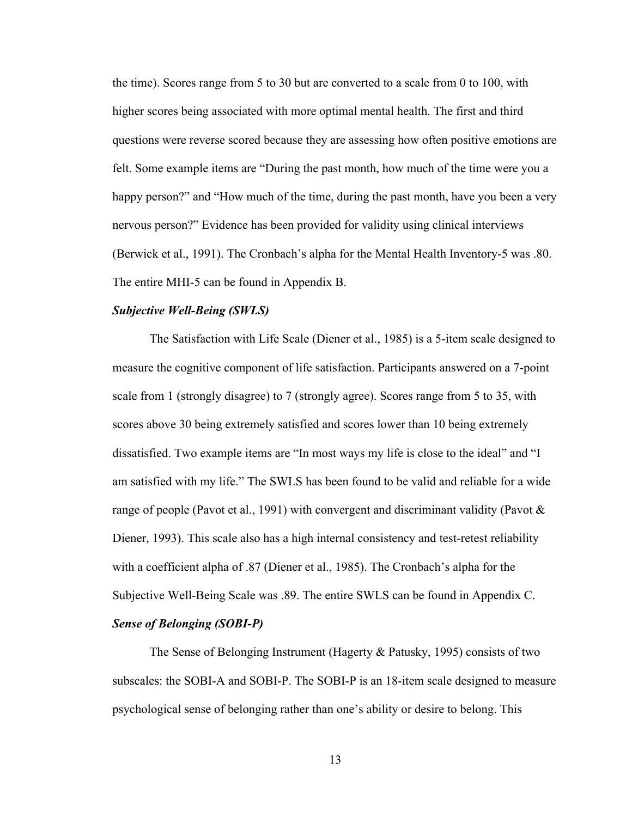the time). Scores range from 5 to 30 but are converted to a scale from 0 to 100, with higher scores being associated with more optimal mental health. The first and third questions were reverse scored because they are assessing how often positive emotions are felt. Some example items are "During the past month, how much of the time were you a happy person?" and "How much of the time, during the past month, have you been a very nervous person?" Evidence has been provided for validity using clinical interviews (Berwick et al., 1991). The Cronbach's alpha for the Mental Health Inventory-5 was .80. The entire MHI-5 can be found in Appendix B.

#### *Subjective Well-Being (SWLS)*

The Satisfaction with Life Scale (Diener et al., 1985) is a 5-item scale designed to measure the cognitive component of life satisfaction. Participants answered on a 7-point scale from 1 (strongly disagree) to 7 (strongly agree). Scores range from 5 to 35, with scores above 30 being extremely satisfied and scores lower than 10 being extremely dissatisfied. Two example items are "In most ways my life is close to the ideal" and "I am satisfied with my life." The SWLS has been found to be valid and reliable for a wide range of people (Pavot et al., 1991) with convergent and discriminant validity (Pavot & Diener, 1993). This scale also has a high internal consistency and test-retest reliability with a coefficient alpha of .87 (Diener et al., 1985). The Cronbach's alpha for the Subjective Well-Being Scale was .89. The entire SWLS can be found in Appendix C.

## *Sense of Belonging (SOBI-P)*

The Sense of Belonging Instrument (Hagerty & Patusky, 1995) consists of two subscales: the SOBI-A and SOBI-P. The SOBI-P is an 18-item scale designed to measure psychological sense of belonging rather than one's ability or desire to belong. This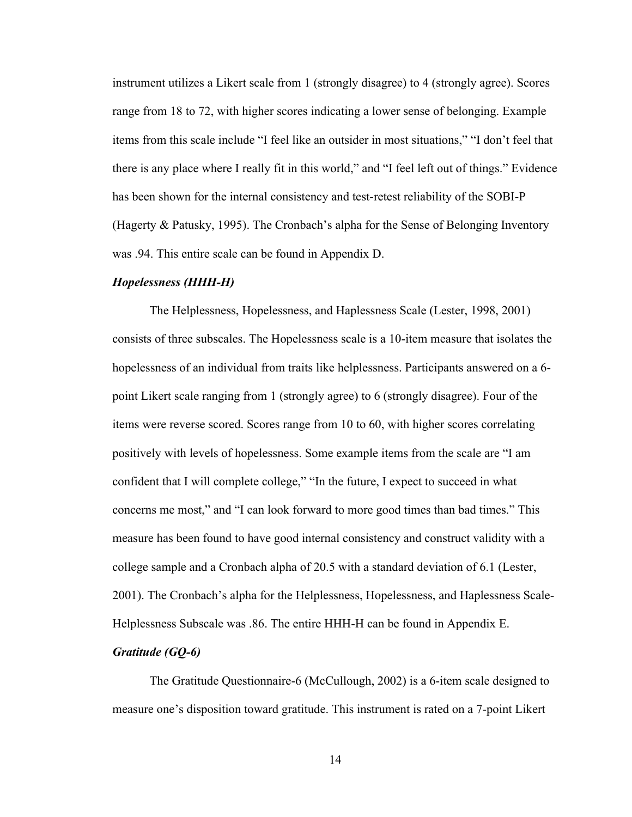instrument utilizes a Likert scale from 1 (strongly disagree) to 4 (strongly agree). Scores range from 18 to 72, with higher scores indicating a lower sense of belonging. Example items from this scale include "I feel like an outsider in most situations," "I don't feel that there is any place where I really fit in this world," and "I feel left out of things." Evidence has been shown for the internal consistency and test-retest reliability of the SOBI-P (Hagerty & Patusky, 1995). The Cronbach's alpha for the Sense of Belonging Inventory was .94. This entire scale can be found in Appendix D.

#### *Hopelessness (HHH-H)*

The Helplessness, Hopelessness, and Haplessness Scale (Lester, 1998, 2001) consists of three subscales. The Hopelessness scale is a 10-item measure that isolates the hopelessness of an individual from traits like helplessness. Participants answered on a 6 point Likert scale ranging from 1 (strongly agree) to 6 (strongly disagree). Four of the items were reverse scored. Scores range from 10 to 60, with higher scores correlating positively with levels of hopelessness. Some example items from the scale are "I am confident that I will complete college," "In the future, I expect to succeed in what concerns me most," and "I can look forward to more good times than bad times." This measure has been found to have good internal consistency and construct validity with a college sample and a Cronbach alpha of 20.5 with a standard deviation of 6.1 (Lester, 2001). The Cronbach's alpha for the Helplessness, Hopelessness, and Haplessness Scale-Helplessness Subscale was .86. The entire HHH-H can be found in Appendix E.

## *Gratitude (GQ-6)*

The Gratitude Questionnaire-6 (McCullough, 2002) is a 6-item scale designed to measure one's disposition toward gratitude. This instrument is rated on a 7-point Likert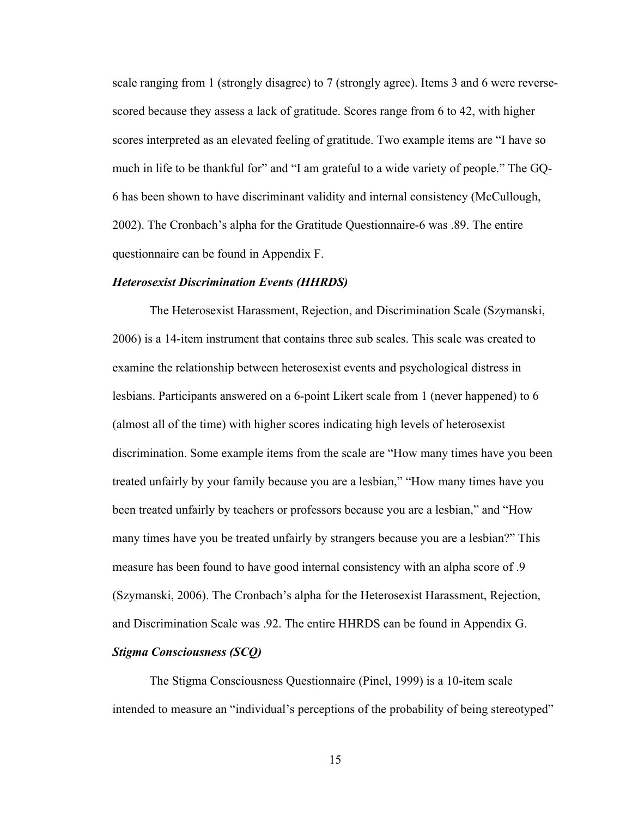scale ranging from 1 (strongly disagree) to 7 (strongly agree). Items 3 and 6 were reversescored because they assess a lack of gratitude. Scores range from 6 to 42, with higher scores interpreted as an elevated feeling of gratitude. Two example items are "I have so much in life to be thankful for" and "I am grateful to a wide variety of people." The GQ-6 has been shown to have discriminant validity and internal consistency (McCullough, 2002). The Cronbach's alpha for the Gratitude Questionnaire-6 was .89. The entire questionnaire can be found in Appendix F.

#### *Heterosexist Discrimination Events (HHRDS)*

The Heterosexist Harassment, Rejection, and Discrimination Scale (Szymanski, 2006) is a 14-item instrument that contains three sub scales. This scale was created to examine the relationship between heterosexist events and psychological distress in lesbians. Participants answered on a 6-point Likert scale from 1 (never happened) to 6 (almost all of the time) with higher scores indicating high levels of heterosexist discrimination. Some example items from the scale are "How many times have you been treated unfairly by your family because you are a lesbian," "How many times have you been treated unfairly by teachers or professors because you are a lesbian," and "How many times have you be treated unfairly by strangers because you are a lesbian?" This measure has been found to have good internal consistency with an alpha score of .9 (Szymanski, 2006). The Cronbach's alpha for the Heterosexist Harassment, Rejection, and Discrimination Scale was .92. The entire HHRDS can be found in Appendix G. *Stigma Consciousness (SCQ)*

# The Stigma Consciousness Questionnaire (Pinel, 1999) is a 10-item scale intended to measure an "individual's perceptions of the probability of being stereotyped"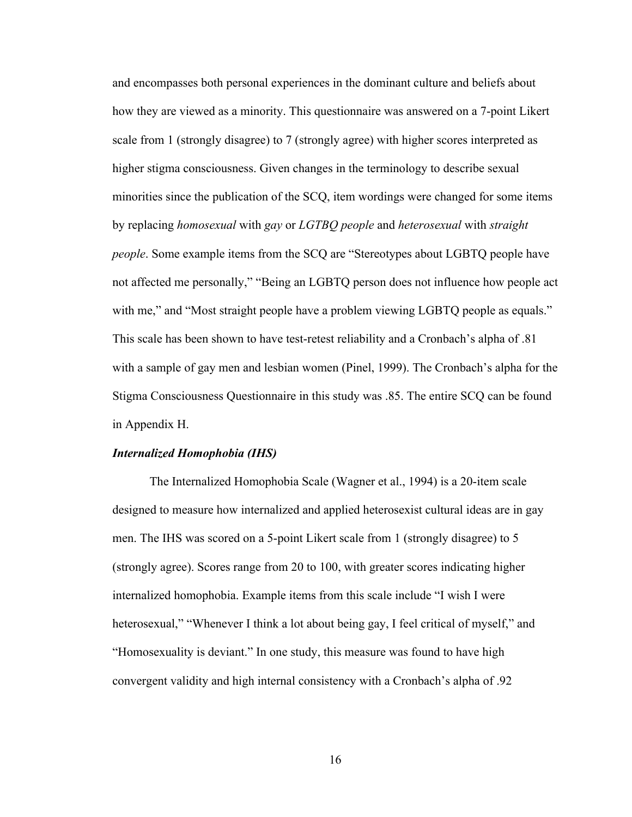and encompasses both personal experiences in the dominant culture and beliefs about how they are viewed as a minority. This questionnaire was answered on a 7-point Likert scale from 1 (strongly disagree) to 7 (strongly agree) with higher scores interpreted as higher stigma consciousness. Given changes in the terminology to describe sexual minorities since the publication of the SCQ, item wordings were changed for some items by replacing *homosexual* with *gay* or *LGTBQ people* and *heterosexual* with *straight people*. Some example items from the SCQ are "Stereotypes about LGBTQ people have not affected me personally," "Being an LGBTQ person does not influence how people act with me," and "Most straight people have a problem viewing LGBTQ people as equals." This scale has been shown to have test-retest reliability and a Cronbach's alpha of .81 with a sample of gay men and lesbian women (Pinel, 1999). The Cronbach's alpha for the Stigma Consciousness Questionnaire in this study was .85. The entire SCQ can be found in Appendix H.

#### *Internalized Homophobia (IHS)*

The Internalized Homophobia Scale (Wagner et al., 1994) is a 20-item scale designed to measure how internalized and applied heterosexist cultural ideas are in gay men. The IHS was scored on a 5-point Likert scale from 1 (strongly disagree) to 5 (strongly agree). Scores range from 20 to 100, with greater scores indicating higher internalized homophobia. Example items from this scale include "I wish I were heterosexual," "Whenever I think a lot about being gay, I feel critical of myself," and "Homosexuality is deviant." In one study, this measure was found to have high convergent validity and high internal consistency with a Cronbach's alpha of .92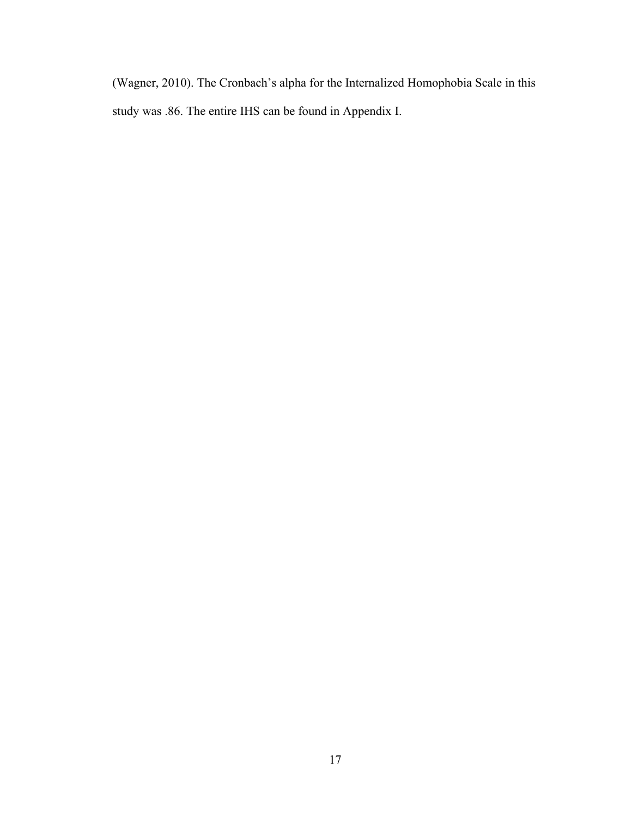(Wagner, 2010). The Cronbach's alpha for the Internalized Homophobia Scale in this study was .86. The entire IHS can be found in Appendix I.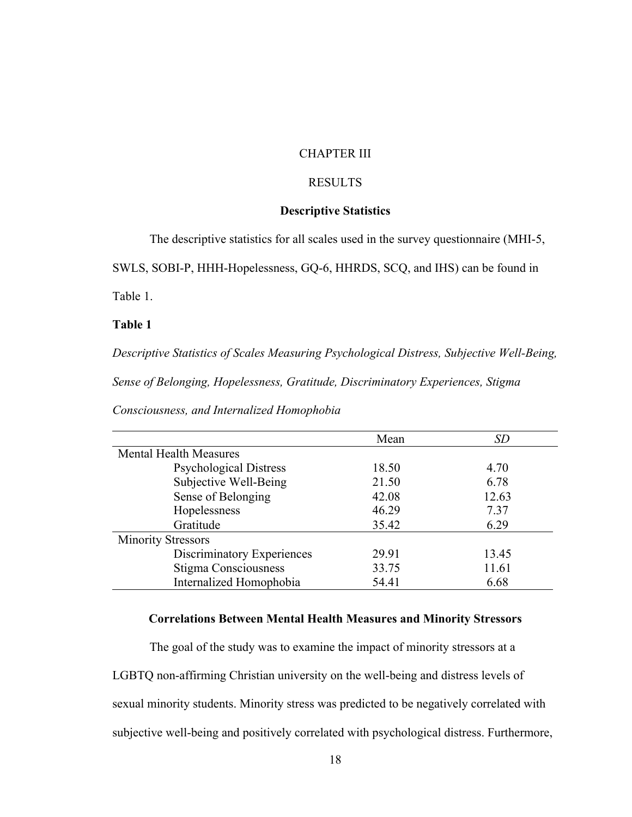## CHAPTER III

## RESULTS

## **Descriptive Statistics**

The descriptive statistics for all scales used in the survey questionnaire (MHI-5,

SWLS, SOBI-P, HHH-Hopelessness, GQ-6, HHRDS, SCQ, and IHS) can be found in

Table 1.

## **Table 1**

*Descriptive Statistics of Scales Measuring Psychological Distress, Subjective Well-Being,* 

*Sense of Belonging, Hopelessness, Gratitude, Discriminatory Experiences, Stigma* 

| Consciousness, and Internalized Homophobia |  |  |  |
|--------------------------------------------|--|--|--|
|--------------------------------------------|--|--|--|

|                               | Mean  | SD    |
|-------------------------------|-------|-------|
| <b>Mental Health Measures</b> |       |       |
| <b>Psychological Distress</b> | 18.50 | 4.70  |
| Subjective Well-Being         | 21.50 | 6.78  |
| Sense of Belonging            | 42.08 | 12.63 |
| Hopelessness                  | 46.29 | 7.37  |
| Gratitude                     | 35.42 | 6.29  |
| <b>Minority Stressors</b>     |       |       |
| Discriminatory Experiences    | 29.91 | 13.45 |
| Stigma Consciousness          | 33.75 | 11.61 |
| Internalized Homophobia       | 54.41 | 6.68  |

### **Correlations Between Mental Health Measures and Minority Stressors**

The goal of the study was to examine the impact of minority stressors at a LGBTQ non-affirming Christian university on the well-being and distress levels of sexual minority students. Minority stress was predicted to be negatively correlated with subjective well-being and positively correlated with psychological distress. Furthermore,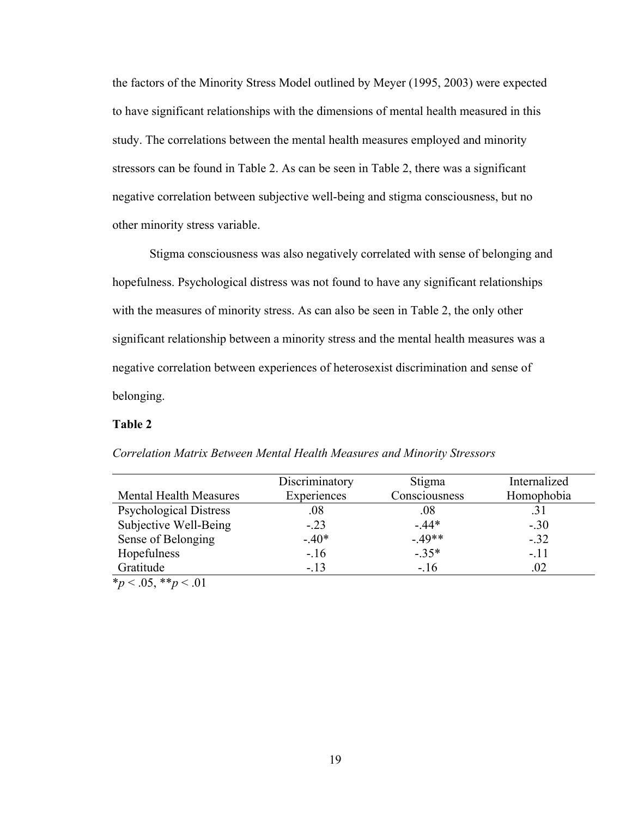the factors of the Minority Stress Model outlined by Meyer (1995, 2003) were expected to have significant relationships with the dimensions of mental health measured in this study. The correlations between the mental health measures employed and minority stressors can be found in Table 2. As can be seen in Table 2, there was a significant negative correlation between subjective well-being and stigma consciousness, but no other minority stress variable.

Stigma consciousness was also negatively correlated with sense of belonging and hopefulness. Psychological distress was not found to have any significant relationships with the measures of minority stress. As can also be seen in Table 2, the only other significant relationship between a minority stress and the mental health measures was a negative correlation between experiences of heterosexist discrimination and sense of belonging.

#### **Table 2**

|                               | Discriminatory | Stigma        | Internalized |
|-------------------------------|----------------|---------------|--------------|
| <b>Mental Health Measures</b> | Experiences    | Consciousness | Homophobia   |
| <b>Psychological Distress</b> | .08            | .08           | .31          |
| Subjective Well-Being         | $-.23$         | $-.44*$       | $-.30$       |
| Sense of Belonging            | $-.40*$        | $-.49**$      | $-.32$       |
| Hopefulness                   | $-.16$         | $-.35*$       | $-.11$       |
| Gratitude                     | $-.13$         | $-.16$        | .02          |
| $*_{n}$ / 05 *** / 01         |                |               |              |

*Correlation Matrix Between Mental Health Measures and Minority Stressors*

\**p* < .05, \*\**p* < .01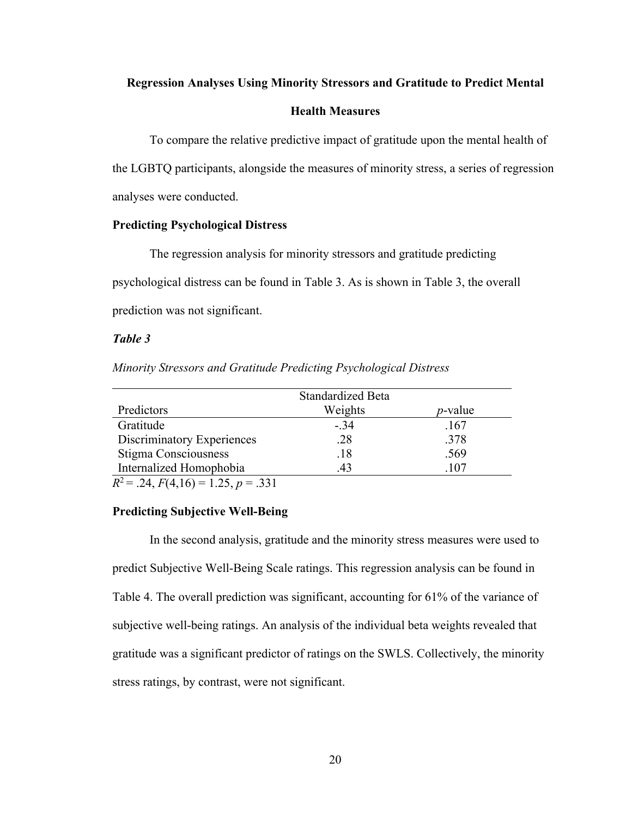#### **Regression Analyses Using Minority Stressors and Gratitude to Predict Mental**

#### **Health Measures**

To compare the relative predictive impact of gratitude upon the mental health of the LGBTQ participants, alongside the measures of minority stress, a series of regression analyses were conducted.

#### **Predicting Psychological Distress**

The regression analysis for minority stressors and gratitude predicting psychological distress can be found in Table 3. As is shown in Table 3, the overall prediction was not significant.

#### *Table 3*

| Minority Stressors and Gratitude Predicting Psychological Distress |
|--------------------------------------------------------------------|
|--------------------------------------------------------------------|

|                                       | <b>Standardized Beta</b> |            |
|---------------------------------------|--------------------------|------------|
| Predictors                            | Weights                  | $p$ -value |
| Gratitude                             | $-.34$                   | .167       |
| Discriminatory Experiences            | .28                      | .378       |
| Stigma Consciousness                  | .18                      | .569       |
| Internalized Homophobia               | .43                      | .107       |
| $D^2 = 24$ $E(A 16) = 1.25$ $n = 221$ |                          |            |

 $R^2 = .24, F(4,16) = 1.25, p = .331$ 

## **Predicting Subjective Well-Being**

In the second analysis, gratitude and the minority stress measures were used to predict Subjective Well-Being Scale ratings. This regression analysis can be found in Table 4. The overall prediction was significant, accounting for 61% of the variance of subjective well-being ratings. An analysis of the individual beta weights revealed that gratitude was a significant predictor of ratings on the SWLS. Collectively, the minority stress ratings, by contrast, were not significant.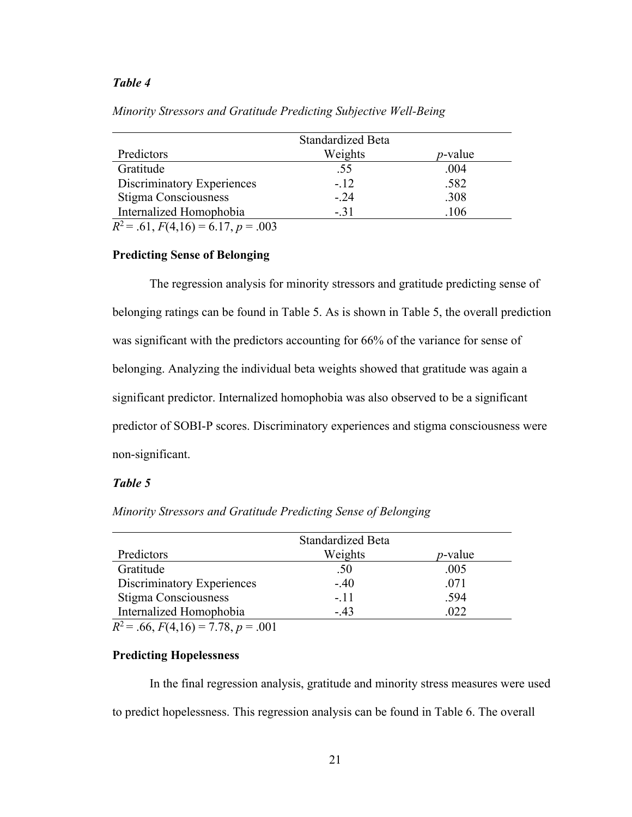#### *Table 4*

|                                                             | Standardized Beta |            |
|-------------------------------------------------------------|-------------------|------------|
| Predictors                                                  | Weights           | $p$ -value |
| Gratitude                                                   | .55               | .004       |
| Discriminatory Experiences                                  | $-.12$            | .582       |
| Stigma Consciousness                                        | $-.24$            | .308       |
| Internalized Homophobia                                     | $-.31$            | .106       |
| $n^2$<br>$(1)$ $\Gamma$ ( $(1)$ $(1)$ $(1)$<br>$\mathbf{a}$ |                   |            |

*Minority Stressors and Gratitude Predicting Subjective Well-Being*

 $R^2 = .61, F(4,16) = 6.17, p = .003$ 

## **Predicting Sense of Belonging**

The regression analysis for minority stressors and gratitude predicting sense of belonging ratings can be found in Table 5. As is shown in Table 5, the overall prediction was significant with the predictors accounting for 66% of the variance for sense of belonging. Analyzing the individual beta weights showed that gratitude was again a significant predictor. Internalized homophobia was also observed to be a significant predictor of SOBI-P scores. Discriminatory experiences and stigma consciousness were non-significant.

#### *Table 5*

*Minority Stressors and Gratitude Predicting Sense of Belonging*

|                                                            | <b>Standardized Beta</b> |            |
|------------------------------------------------------------|--------------------------|------------|
| Predictors                                                 | Weights                  | $p$ -value |
| Gratitude                                                  | .50                      | .005       |
| <b>Discriminatory Experiences</b>                          | $-.40$                   | .071       |
| Stigma Consciousness                                       | $-.11$                   | .594       |
| Internalized Homophobia                                    | $-43$                    | .022       |
| $R^2$ <i>cc</i> $R(1,1,0)$ = $R^2$<br>$\sim$ $\sim$ $\sim$ |                          |            |

 $R^2 = .66, F(4,16) = 7.78, p = .001$ 

## **Predicting Hopelessness**

In the final regression analysis, gratitude and minority stress measures were used to predict hopelessness. This regression analysis can be found in Table 6. The overall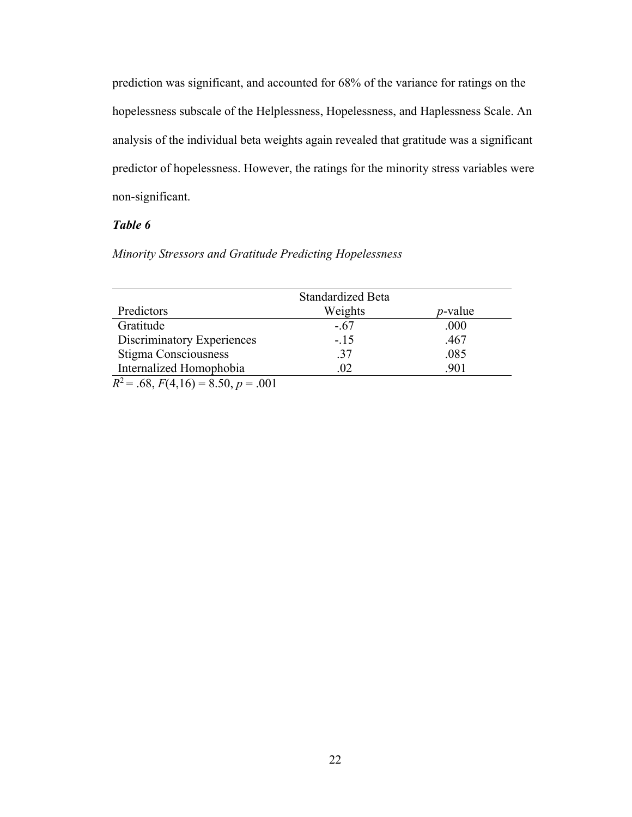prediction was significant, and accounted for 68% of the variance for ratings on the hopelessness subscale of the Helplessness, Hopelessness, and Haplessness Scale. An analysis of the individual beta weights again revealed that gratitude was a significant predictor of hopelessness. However, the ratings for the minority stress variables were non-significant.

## *Table 6*

## *Minority Stressors and Gratitude Predicting Hopelessness*

|                                       | <b>Standardized Beta</b> |                 |
|---------------------------------------|--------------------------|-----------------|
| Predictors                            | Weights                  | <i>p</i> -value |
| Gratitude                             | $-.67$                   | .000            |
| <b>Discriminatory Experiences</b>     | $-.15$                   | .467            |
| Stigma Consciousness                  | .37                      | .085            |
| Internalized Homophobia               | .02                      | .901            |
| $R^2 = .68, F(4,16) = 8.50, p = .001$ |                          |                 |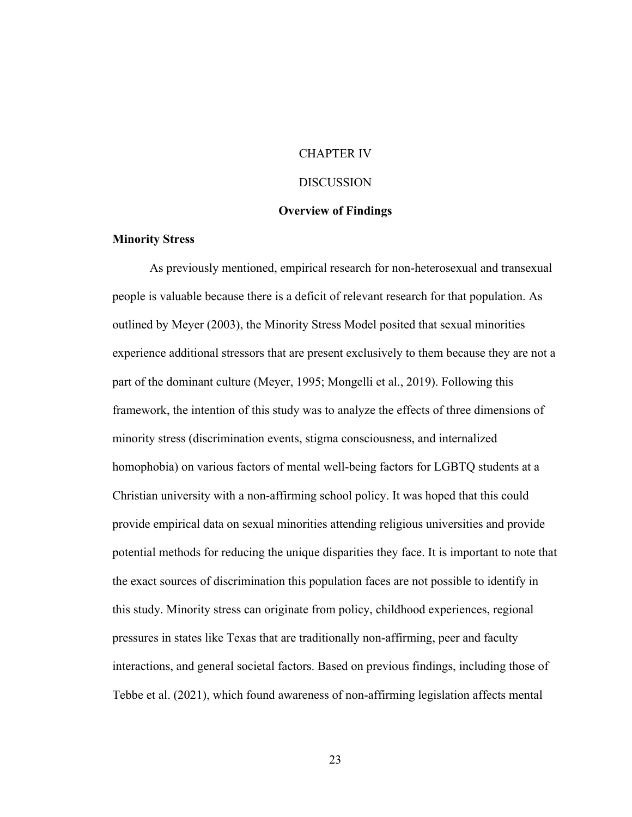## CHAPTER IV

#### **DISCUSSION**

#### **Overview of Findings**

#### **Minority Stress**

As previously mentioned, empirical research for non-heterosexual and transexual people is valuable because there is a deficit of relevant research for that population. As outlined by Meyer (2003), the Minority Stress Model posited that sexual minorities experience additional stressors that are present exclusively to them because they are not a part of the dominant culture (Meyer, 1995; Mongelli et al., 2019). Following this framework, the intention of this study was to analyze the effects of three dimensions of minority stress (discrimination events, stigma consciousness, and internalized homophobia) on various factors of mental well-being factors for LGBTQ students at a Christian university with a non-affirming school policy. It was hoped that this could provide empirical data on sexual minorities attending religious universities and provide potential methods for reducing the unique disparities they face. It is important to note that the exact sources of discrimination this population faces are not possible to identify in this study. Minority stress can originate from policy, childhood experiences, regional pressures in states like Texas that are traditionally non-affirming, peer and faculty interactions, and general societal factors. Based on previous findings, including those of Tebbe et al. (2021), which found awareness of non-affirming legislation affects mental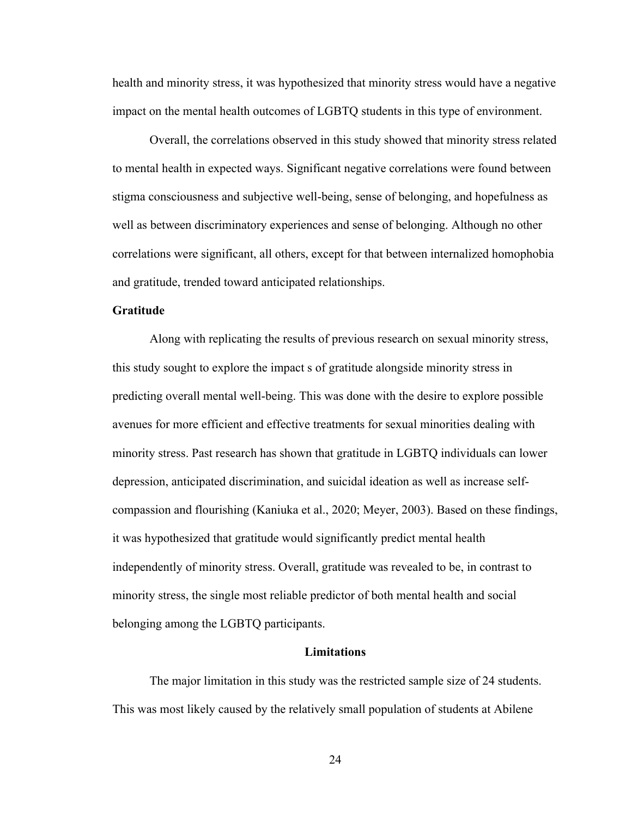health and minority stress, it was hypothesized that minority stress would have a negative impact on the mental health outcomes of LGBTQ students in this type of environment.

Overall, the correlations observed in this study showed that minority stress related to mental health in expected ways. Significant negative correlations were found between stigma consciousness and subjective well-being, sense of belonging, and hopefulness as well as between discriminatory experiences and sense of belonging. Although no other correlations were significant, all others, except for that between internalized homophobia and gratitude, trended toward anticipated relationships.

#### **Gratitude**

Along with replicating the results of previous research on sexual minority stress, this study sought to explore the impact s of gratitude alongside minority stress in predicting overall mental well-being. This was done with the desire to explore possible avenues for more efficient and effective treatments for sexual minorities dealing with minority stress. Past research has shown that gratitude in LGBTQ individuals can lower depression, anticipated discrimination, and suicidal ideation as well as increase selfcompassion and flourishing (Kaniuka et al., 2020; Meyer, 2003). Based on these findings, it was hypothesized that gratitude would significantly predict mental health independently of minority stress. Overall, gratitude was revealed to be, in contrast to minority stress, the single most reliable predictor of both mental health and social belonging among the LGBTQ participants.

#### **Limitations**

The major limitation in this study was the restricted sample size of 24 students. This was most likely caused by the relatively small population of students at Abilene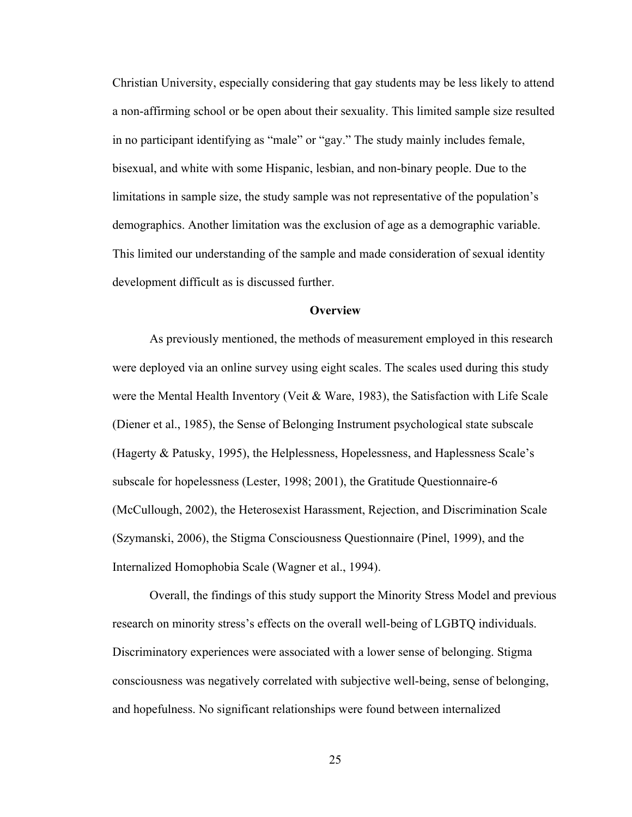Christian University, especially considering that gay students may be less likely to attend a non-affirming school or be open about their sexuality. This limited sample size resulted in no participant identifying as "male" or "gay." The study mainly includes female, bisexual, and white with some Hispanic, lesbian, and non-binary people. Due to the limitations in sample size, the study sample was not representative of the population's demographics. Another limitation was the exclusion of age as a demographic variable. This limited our understanding of the sample and made consideration of sexual identity development difficult as is discussed further.

#### **Overview**

As previously mentioned, the methods of measurement employed in this research were deployed via an online survey using eight scales. The scales used during this study were the Mental Health Inventory (Veit & Ware, 1983), the Satisfaction with Life Scale (Diener et al., 1985), the Sense of Belonging Instrument psychological state subscale (Hagerty & Patusky, 1995), the Helplessness, Hopelessness, and Haplessness Scale's subscale for hopelessness (Lester, 1998; 2001), the Gratitude Questionnaire-6 (McCullough, 2002), the Heterosexist Harassment, Rejection, and Discrimination Scale (Szymanski, 2006), the Stigma Consciousness Questionnaire (Pinel, 1999), and the Internalized Homophobia Scale (Wagner et al., 1994).

Overall, the findings of this study support the Minority Stress Model and previous research on minority stress's effects on the overall well-being of LGBTQ individuals. Discriminatory experiences were associated with a lower sense of belonging. Stigma consciousness was negatively correlated with subjective well-being, sense of belonging, and hopefulness. No significant relationships were found between internalized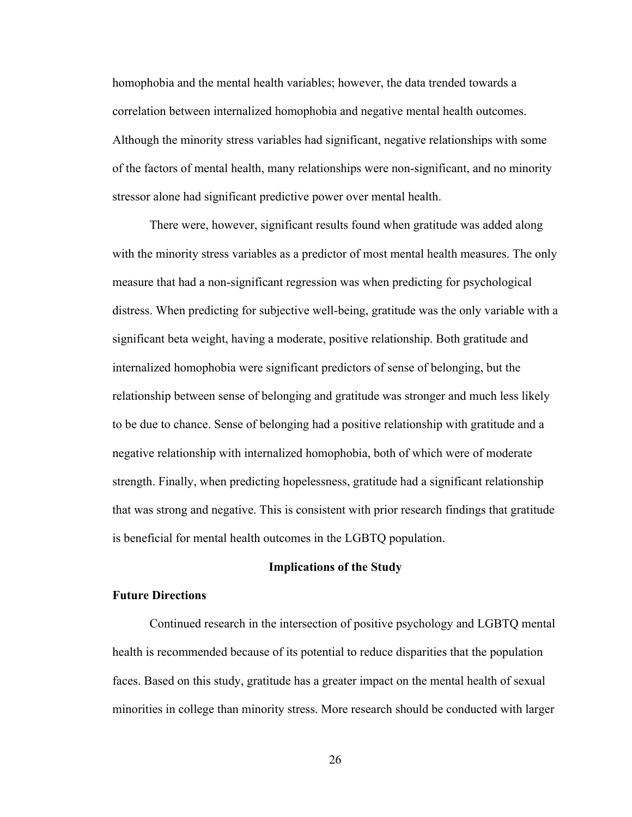homophobia and the mental health variables; however, the data trended towards a correlation between internalized homophobia and negative mental health outcomes. Although the minority stress variables had significant, negative relationships with some of the factors of mental health, many relationships were non-significant, and no minority stressor alone had significant predictive power over mental health.

There were, however, significant results found when gratitude was added along with the minority stress variables as a predictor of most mental health measures. The only measure that had a non-significant regression was when predicting for psychological distress. When predicting for subjective well-being, gratitude was the only variable with a significant beta weight, having a moderate, positive relationship. Both gratitude and internalized homophobia were significant predictors of sense of belonging, but the relationship between sense of belonging and gratitude was stronger and much less likely to be due to chance. Sense of belonging had a positive relationship with gratitude and a negative relationship with internalized homophobia, both of which were of moderate strength. Finally, when predicting hopelessness, gratitude had a significant relationship that was strong and negative. This is consistent with prior research findings that gratitude is beneficial for mental health outcomes in the LGBTQ population.

#### **Implications of the Study**

## **Future Directions**

Continued research in the intersection of positive psychology and LGBTQ mental health is recommended because of its potential to reduce disparities that the population faces. Based on this study, gratitude has a greater impact on the mental health of sexual minorities in college than minority stress. More research should be conducted with larger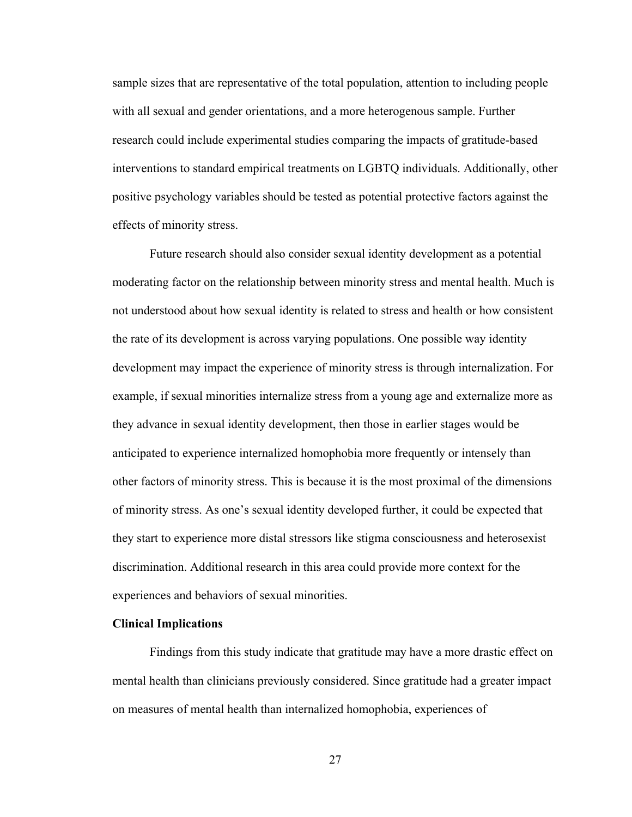sample sizes that are representative of the total population, attention to including people with all sexual and gender orientations, and a more heterogenous sample. Further research could include experimental studies comparing the impacts of gratitude-based interventions to standard empirical treatments on LGBTQ individuals. Additionally, other positive psychology variables should be tested as potential protective factors against the effects of minority stress.

Future research should also consider sexual identity development as a potential moderating factor on the relationship between minority stress and mental health. Much is not understood about how sexual identity is related to stress and health or how consistent the rate of its development is across varying populations. One possible way identity development may impact the experience of minority stress is through internalization. For example, if sexual minorities internalize stress from a young age and externalize more as they advance in sexual identity development, then those in earlier stages would be anticipated to experience internalized homophobia more frequently or intensely than other factors of minority stress. This is because it is the most proximal of the dimensions of minority stress. As one's sexual identity developed further, it could be expected that they start to experience more distal stressors like stigma consciousness and heterosexist discrimination. Additional research in this area could provide more context for the experiences and behaviors of sexual minorities.

#### **Clinical Implications**

Findings from this study indicate that gratitude may have a more drastic effect on mental health than clinicians previously considered. Since gratitude had a greater impact on measures of mental health than internalized homophobia, experiences of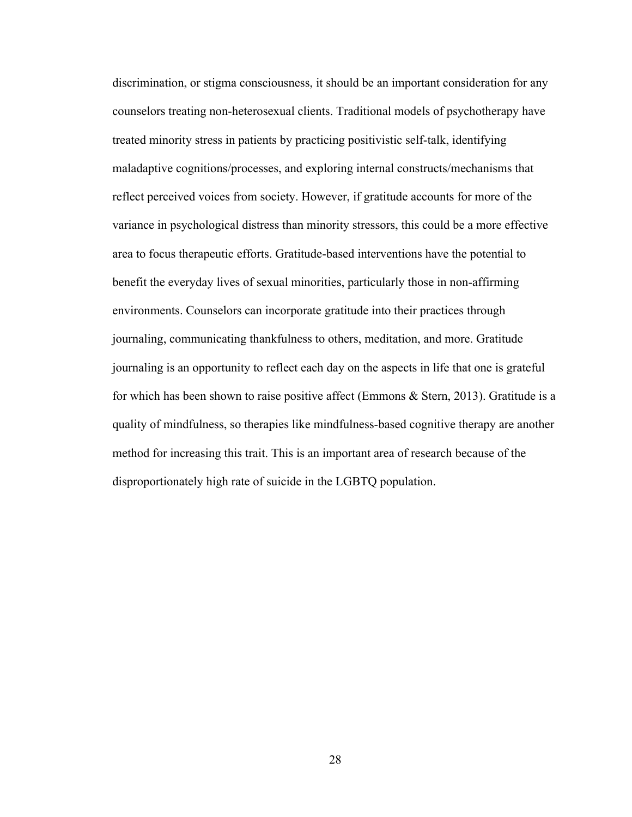discrimination, or stigma consciousness, it should be an important consideration for any counselors treating non-heterosexual clients. Traditional models of psychotherapy have treated minority stress in patients by practicing positivistic self-talk, identifying maladaptive cognitions/processes, and exploring internal constructs/mechanisms that reflect perceived voices from society. However, if gratitude accounts for more of the variance in psychological distress than minority stressors, this could be a more effective area to focus therapeutic efforts. Gratitude-based interventions have the potential to benefit the everyday lives of sexual minorities, particularly those in non-affirming environments. Counselors can incorporate gratitude into their practices through journaling, communicating thankfulness to others, meditation, and more. Gratitude journaling is an opportunity to reflect each day on the aspects in life that one is grateful for which has been shown to raise positive affect (Emmons & Stern, 2013). Gratitude is a quality of mindfulness, so therapies like mindfulness-based cognitive therapy are another method for increasing this trait. This is an important area of research because of the disproportionately high rate of suicide in the LGBTQ population.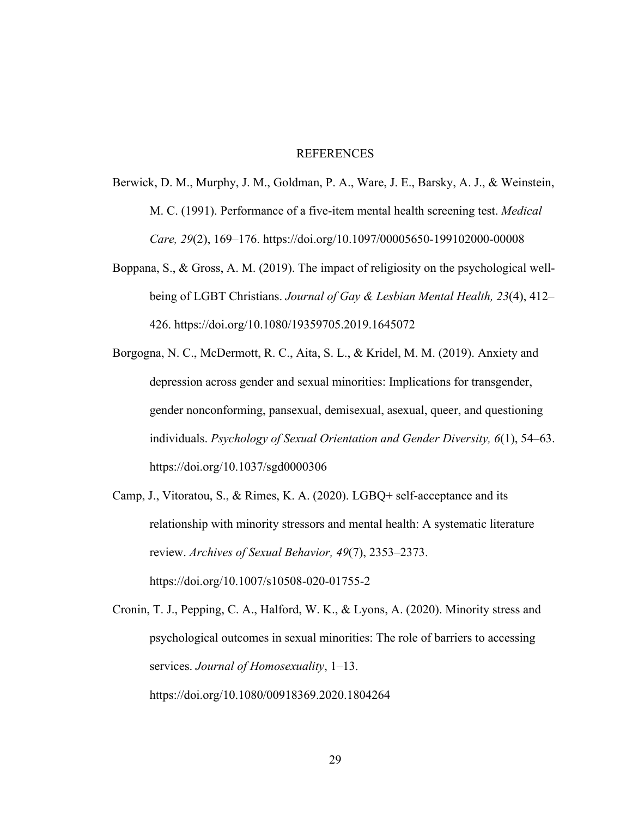#### **REFERENCES**

- Berwick, D. M., Murphy, J. M., Goldman, P. A., Ware, J. E., Barsky, A. J., & Weinstein, M. C. (1991). Performance of a five-item mental health screening test. *Medical Care, 29*(2), 169–176. https://doi.org/10.1097/00005650-199102000-00008
- Boppana, S., & Gross, A. M. (2019). The impact of religiosity on the psychological wellbeing of LGBT Christians. *Journal of Gay & Lesbian Mental Health, 23*(4), 412– 426. https://doi.org/10.1080/19359705.2019.1645072
- Borgogna, N. C., McDermott, R. C., Aita, S. L., & Kridel, M. M. (2019). Anxiety and depression across gender and sexual minorities: Implications for transgender, gender nonconforming, pansexual, demisexual, asexual, queer, and questioning individuals. *Psychology of Sexual Orientation and Gender Diversity, 6*(1), 54–63. https://doi.org/10.1037/sgd0000306
- Camp, J., Vitoratou, S., & Rimes, K. A. (2020). LGBQ+ self-acceptance and its relationship with minority stressors and mental health: A systematic literature review. *Archives of Sexual Behavior, 49*(7), 2353–2373. https://doi.org/10.1007/s10508-020-01755-2
- Cronin, T. J., Pepping, C. A., Halford, W. K., & Lyons, A. (2020). Minority stress and psychological outcomes in sexual minorities: The role of barriers to accessing services. *Journal of Homosexuality*, 1–13. https://doi.org/10.1080/00918369.2020.1804264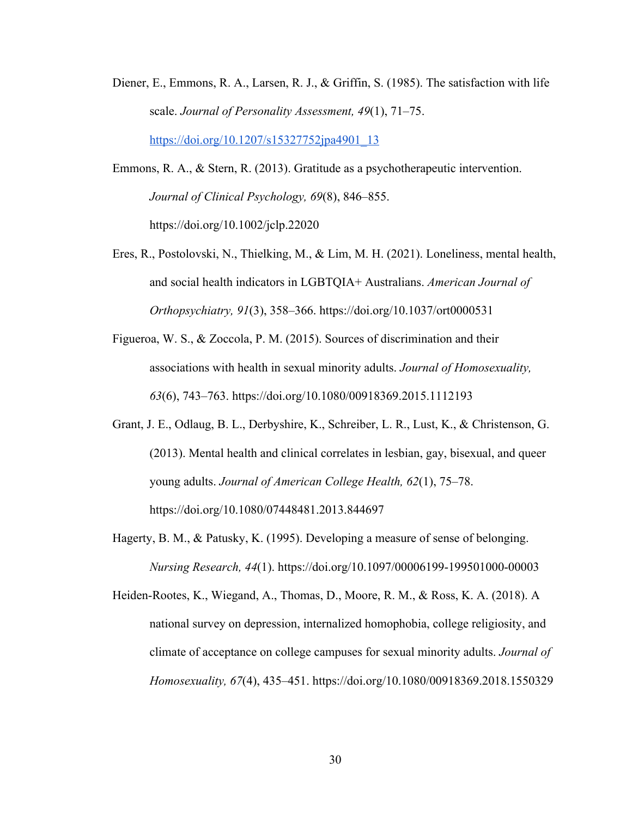- Diener, E., Emmons, R. A., Larsen, R. J., & Griffin, S. (1985). The satisfaction with life scale. *Journal of Personality Assessment, 49*(1), 71–75. https://doi.org/10.1207/s15327752jpa4901\_13
- Emmons, R. A., & Stern, R. (2013). Gratitude as a psychotherapeutic intervention. *Journal of Clinical Psychology, 69*(8), 846–855. https://doi.org/10.1002/jclp.22020
- Eres, R., Postolovski, N., Thielking, M., & Lim, M. H. (2021). Loneliness, mental health, and social health indicators in LGBTQIA+ Australians. *American Journal of Orthopsychiatry, 91*(3), 358–366. https://doi.org/10.1037/ort0000531
- Figueroa, W. S., & Zoccola, P. M. (2015). Sources of discrimination and their associations with health in sexual minority adults. *Journal of Homosexuality, 63*(6), 743–763. https://doi.org/10.1080/00918369.2015.1112193
- Grant, J. E., Odlaug, B. L., Derbyshire, K., Schreiber, L. R., Lust, K., & Christenson, G. (2013). Mental health and clinical correlates in lesbian, gay, bisexual, and queer young adults. *Journal of American College Health, 62*(1), 75–78. https://doi.org/10.1080/07448481.2013.844697
- Hagerty, B. M., & Patusky, K. (1995). Developing a measure of sense of belonging. *Nursing Research, 44*(1). https://doi.org/10.1097/00006199-199501000-00003

Heiden-Rootes, K., Wiegand, A., Thomas, D., Moore, R. M., & Ross, K. A. (2018). A national survey on depression, internalized homophobia, college religiosity, and climate of acceptance on college campuses for sexual minority adults. *Journal of Homosexuality, 67*(4), 435–451. https://doi.org/10.1080/00918369.2018.1550329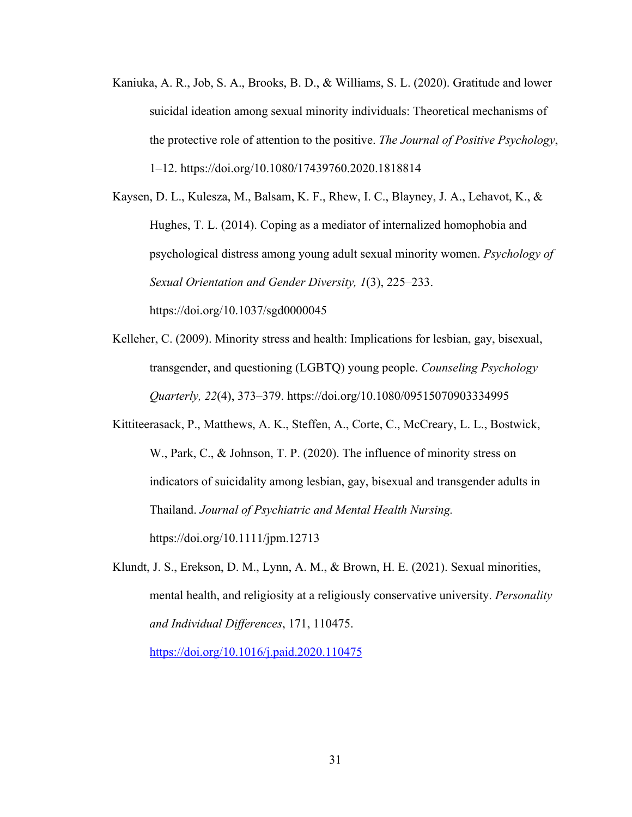Kaniuka, A. R., Job, S. A., Brooks, B. D., & Williams, S. L. (2020). Gratitude and lower suicidal ideation among sexual minority individuals: Theoretical mechanisms of the protective role of attention to the positive. *The Journal of Positive Psychology*, 1–12. https://doi.org/10.1080/17439760.2020.1818814

Kaysen, D. L., Kulesza, M., Balsam, K. F., Rhew, I. C., Blayney, J. A., Lehavot, K., & Hughes, T. L. (2014). Coping as a mediator of internalized homophobia and psychological distress among young adult sexual minority women. *Psychology of Sexual Orientation and Gender Diversity, 1*(3), 225–233. https://doi.org/10.1037/sgd0000045

- Kelleher, C. (2009). Minority stress and health: Implications for lesbian, gay, bisexual, transgender, and questioning (LGBTQ) young people. *Counseling Psychology Quarterly, 22*(4), 373–379. https://doi.org/10.1080/09515070903334995
- Kittiteerasack, P., Matthews, A. K., Steffen, A., Corte, C., McCreary, L. L., Bostwick, W., Park, C., & Johnson, T. P. (2020). The influence of minority stress on indicators of suicidality among lesbian, gay, bisexual and transgender adults in Thailand. *Journal of Psychiatric and Mental Health Nursing.* https://doi.org/10.1111/jpm.12713
- Klundt, J. S., Erekson, D. M., Lynn, A. M., & Brown, H. E. (2021). Sexual minorities, mental health, and religiosity at a religiously conservative university. *Personality and Individual Differences*, 171, 110475.

https://doi.org/10.1016/j.paid.2020.110475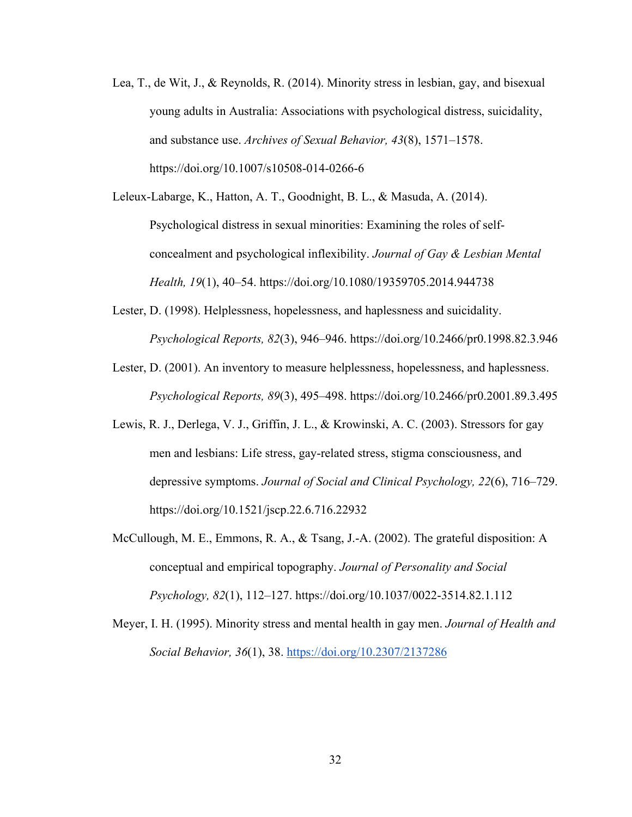- Lea, T., de Wit, J., & Reynolds, R. (2014). Minority stress in lesbian, gay, and bisexual young adults in Australia: Associations with psychological distress, suicidality, and substance use. *Archives of Sexual Behavior, 43*(8), 1571–1578. https://doi.org/10.1007/s10508-014-0266-6
- Leleux-Labarge, K., Hatton, A. T., Goodnight, B. L., & Masuda, A. (2014). Psychological distress in sexual minorities: Examining the roles of selfconcealment and psychological inflexibility. *Journal of Gay & Lesbian Mental Health, 19*(1), 40–54. https://doi.org/10.1080/19359705.2014.944738
- Lester, D. (1998). Helplessness, hopelessness, and haplessness and suicidality. *Psychological Reports, 82*(3), 946–946. https://doi.org/10.2466/pr0.1998.82.3.946
- Lester, D. (2001). An inventory to measure helplessness, hopelessness, and haplessness. *Psychological Reports, 89*(3), 495–498. https://doi.org/10.2466/pr0.2001.89.3.495
- Lewis, R. J., Derlega, V. J., Griffin, J. L., & Krowinski, A. C. (2003). Stressors for gay men and lesbians: Life stress, gay-related stress, stigma consciousness, and depressive symptoms. *Journal of Social and Clinical Psychology, 22*(6), 716–729. https://doi.org/10.1521/jscp.22.6.716.22932
- McCullough, M. E., Emmons, R. A., & Tsang, J.-A. (2002). The grateful disposition: A conceptual and empirical topography. *Journal of Personality and Social Psychology, 82*(1), 112–127. https://doi.org/10.1037/0022-3514.82.1.112
- Meyer, I. H. (1995). Minority stress and mental health in gay men. *Journal of Health and Social Behavior, 36*(1), 38. https://doi.org/10.2307/2137286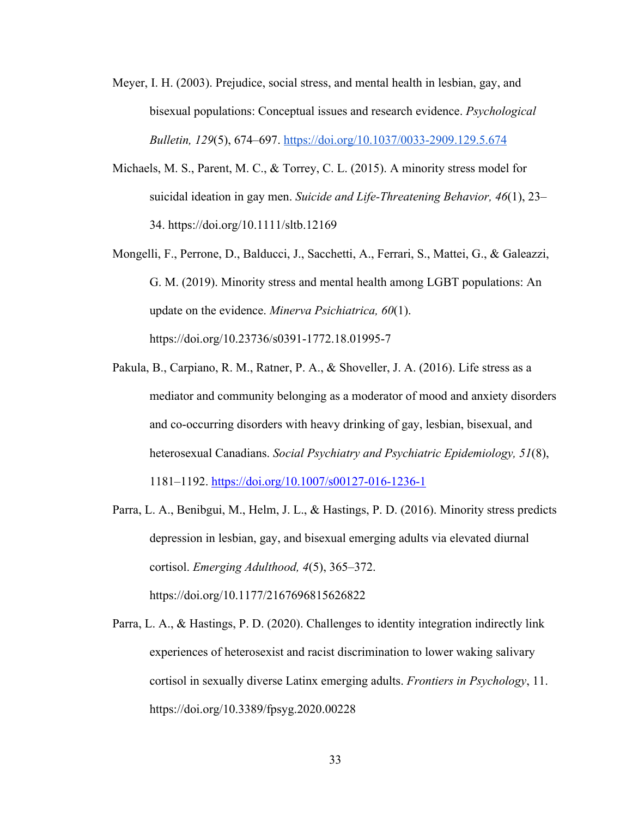- Meyer, I. H. (2003). Prejudice, social stress, and mental health in lesbian, gay, and bisexual populations: Conceptual issues and research evidence. *Psychological Bulletin, 129*(5), 674–697. https://doi.org/10.1037/0033-2909.129.5.674
- Michaels, M. S., Parent, M. C., & Torrey, C. L. (2015). A minority stress model for suicidal ideation in gay men. *Suicide and Life-Threatening Behavior, 46*(1), 23– 34. https://doi.org/10.1111/sltb.12169
- Mongelli, F., Perrone, D., Balducci, J., Sacchetti, A., Ferrari, S., Mattei, G., & Galeazzi, G. M. (2019). Minority stress and mental health among LGBT populations: An update on the evidence. *Minerva Psichiatrica, 60*(1). https://doi.org/10.23736/s0391-1772.18.01995-7
- Pakula, B., Carpiano, R. M., Ratner, P. A., & Shoveller, J. A. (2016). Life stress as a mediator and community belonging as a moderator of mood and anxiety disorders and co-occurring disorders with heavy drinking of gay, lesbian, bisexual, and heterosexual Canadians. *Social Psychiatry and Psychiatric Epidemiology, 51*(8), 1181–1192. https://doi.org/10.1007/s00127-016-1236-1
- Parra, L. A., Benibgui, M., Helm, J. L., & Hastings, P. D. (2016). Minority stress predicts depression in lesbian, gay, and bisexual emerging adults via elevated diurnal cortisol. *Emerging Adulthood, 4*(5), 365–372. https://doi.org/10.1177/2167696815626822
- Parra, L. A., & Hastings, P. D. (2020). Challenges to identity integration indirectly link experiences of heterosexist and racist discrimination to lower waking salivary cortisol in sexually diverse Latinx emerging adults. *Frontiers in Psychology*, 11. https://doi.org/10.3389/fpsyg.2020.00228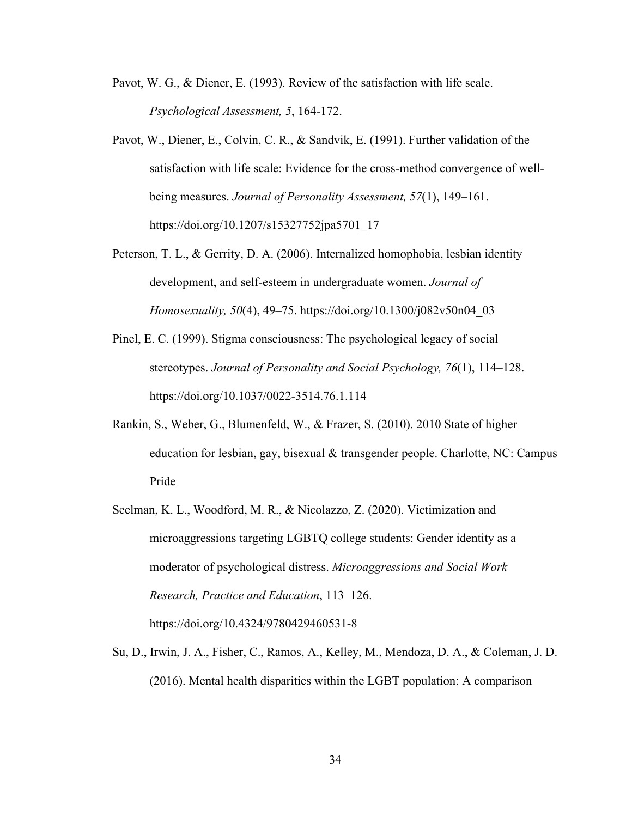- Pavot, W. G., & Diener, E. (1993). Review of the satisfaction with life scale. *Psychological Assessment, 5*, 164-172.
- Pavot, W., Diener, E., Colvin, C. R., & Sandvik, E. (1991). Further validation of the satisfaction with life scale: Evidence for the cross-method convergence of wellbeing measures. *Journal of Personality Assessment, 57*(1), 149–161. https://doi.org/10.1207/s15327752jpa5701\_17
- Peterson, T. L., & Gerrity, D. A. (2006). Internalized homophobia, lesbian identity development, and self-esteem in undergraduate women. *Journal of Homosexuality, 50*(4), 49–75. https://doi.org/10.1300/j082v50n04\_03
- Pinel, E. C. (1999). Stigma consciousness: The psychological legacy of social stereotypes. *Journal of Personality and Social Psychology, 76*(1), 114–128. https://doi.org/10.1037/0022-3514.76.1.114
- Rankin, S., Weber, G., Blumenfeld, W., & Frazer, S. (2010). 2010 State of higher education for lesbian, gay, bisexual & transgender people. Charlotte, NC: Campus Pride
- Seelman, K. L., Woodford, M. R., & Nicolazzo, Z. (2020). Victimization and microaggressions targeting LGBTQ college students: Gender identity as a moderator of psychological distress. *Microaggressions and Social Work Research, Practice and Education*, 113–126. https://doi.org/10.4324/9780429460531-8
- Su, D., Irwin, J. A., Fisher, C., Ramos, A., Kelley, M., Mendoza, D. A., & Coleman, J. D. (2016). Mental health disparities within the LGBT population: A comparison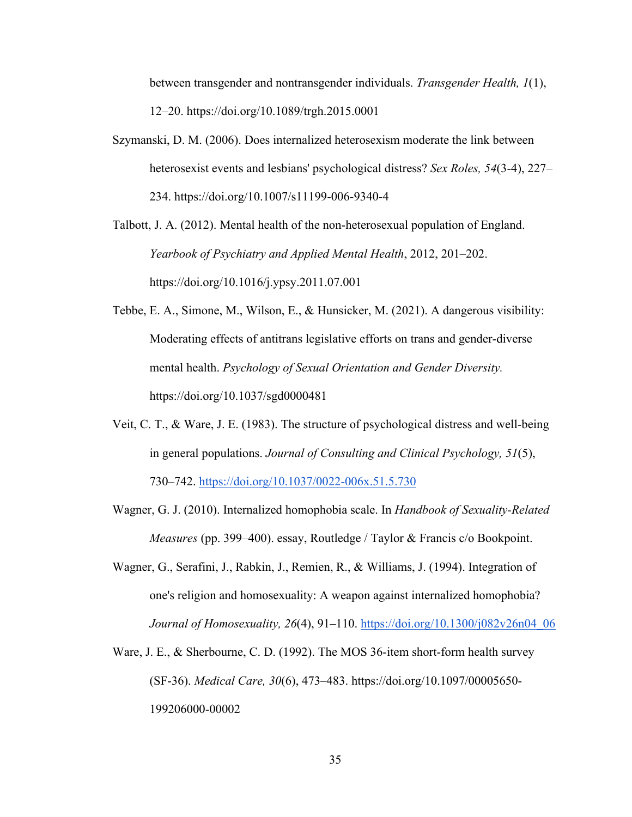between transgender and nontransgender individuals. *Transgender Health, 1*(1), 12–20. https://doi.org/10.1089/trgh.2015.0001

Szymanski, D. M. (2006). Does internalized heterosexism moderate the link between heterosexist events and lesbians' psychological distress? *Sex Roles, 54*(3-4), 227– 234. https://doi.org/10.1007/s11199-006-9340-4

Talbott, J. A. (2012). Mental health of the non-heterosexual population of England. *Yearbook of Psychiatry and Applied Mental Health*, 2012, 201–202. https://doi.org/10.1016/j.ypsy.2011.07.001

Tebbe, E. A., Simone, M., Wilson, E., & Hunsicker, M. (2021). A dangerous visibility: Moderating effects of antitrans legislative efforts on trans and gender-diverse mental health. *Psychology of Sexual Orientation and Gender Diversity.* https://doi.org/10.1037/sgd0000481

- Veit, C. T., & Ware, J. E. (1983). The structure of psychological distress and well-being in general populations. *Journal of Consulting and Clinical Psychology, 51*(5), 730–742. https://doi.org/10.1037/0022-006x.51.5.730
- Wagner, G. J. (2010). Internalized homophobia scale. In *Handbook of Sexuality-Related Measures* (pp. 399–400). essay, Routledge / Taylor & Francis c/o Bookpoint.
- Wagner, G., Serafini, J., Rabkin, J., Remien, R., & Williams, J. (1994). Integration of one's religion and homosexuality: A weapon against internalized homophobia? *Journal of Homosexuality, 26(4), 91–110.* https://doi.org/10.1300/j082v26n04\_06
- Ware, J. E., & Sherbourne, C. D. (1992). The MOS 36-item short-form health survey (SF-36). *Medical Care, 30*(6), 473–483. https://doi.org/10.1097/00005650- 199206000-00002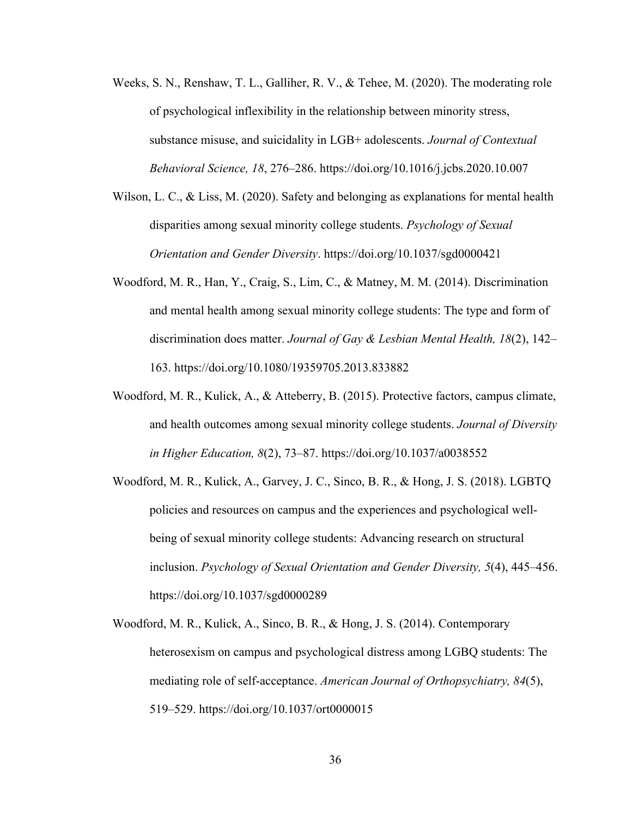- Weeks, S. N., Renshaw, T. L., Galliher, R. V., & Tehee, M. (2020). The moderating role of psychological inflexibility in the relationship between minority stress, substance misuse, and suicidality in LGB+ adolescents. *Journal of Contextual Behavioral Science, 18*, 276–286. https://doi.org/10.1016/j.jcbs.2020.10.007
- Wilson, L. C., & Liss, M. (2020). Safety and belonging as explanations for mental health disparities among sexual minority college students. *Psychology of Sexual Orientation and Gender Diversity*. https://doi.org/10.1037/sgd0000421
- Woodford, M. R., Han, Y., Craig, S., Lim, C., & Matney, M. M. (2014). Discrimination and mental health among sexual minority college students: The type and form of discrimination does matter. *Journal of Gay & Lesbian Mental Health, 18*(2), 142– 163. https://doi.org/10.1080/19359705.2013.833882
- Woodford, M. R., Kulick, A., & Atteberry, B. (2015). Protective factors, campus climate, and health outcomes among sexual minority college students. *Journal of Diversity in Higher Education, 8*(2), 73–87. https://doi.org/10.1037/a0038552
- Woodford, M. R., Kulick, A., Garvey, J. C., Sinco, B. R., & Hong, J. S. (2018). LGBTQ policies and resources on campus and the experiences and psychological wellbeing of sexual minority college students: Advancing research on structural inclusion. *Psychology of Sexual Orientation and Gender Diversity, 5*(4), 445–456. https://doi.org/10.1037/sgd0000289
- Woodford, M. R., Kulick, A., Sinco, B. R., & Hong, J. S. (2014). Contemporary heterosexism on campus and psychological distress among LGBQ students: The mediating role of self-acceptance. *American Journal of Orthopsychiatry, 84*(5), 519–529. https://doi.org/10.1037/ort0000015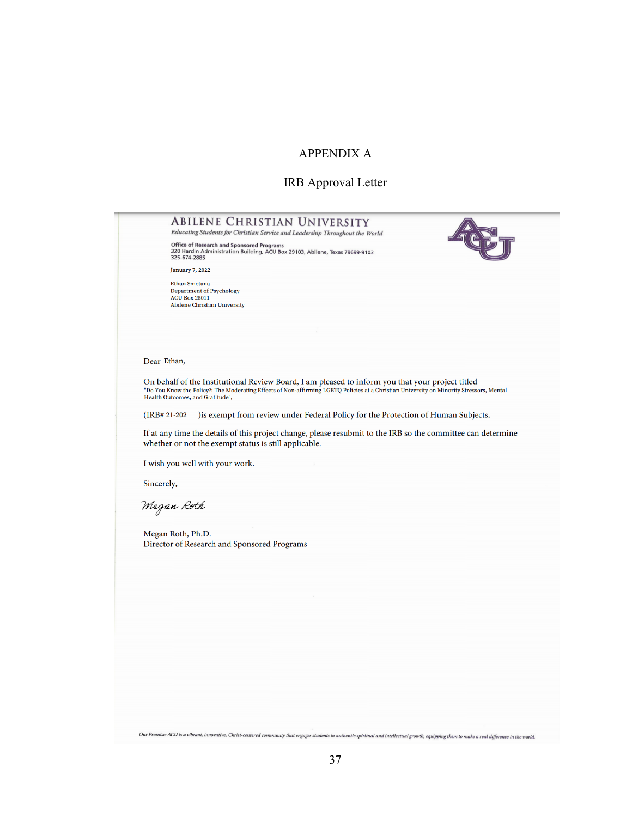## APPENDIX A

#### IRB Approval Letter

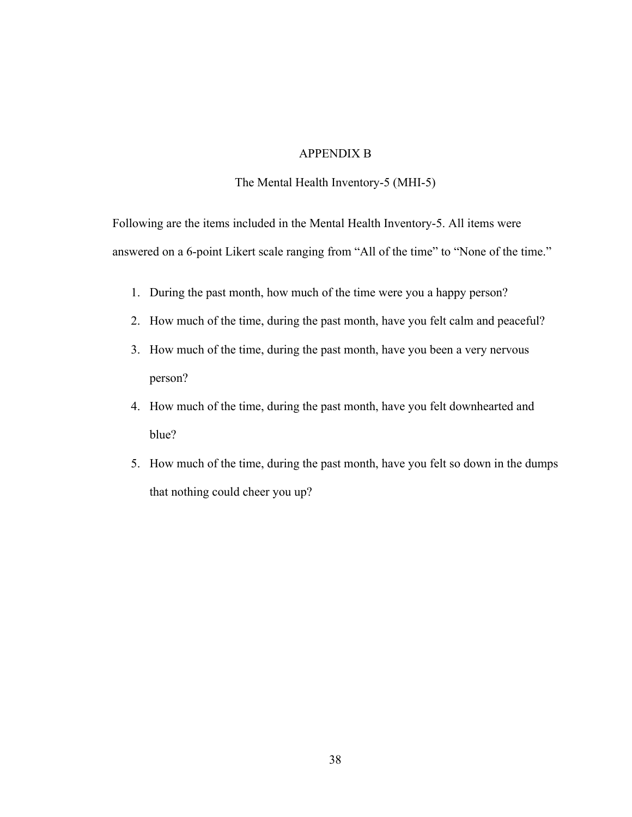## APPENDIX B

## The Mental Health Inventory-5 (MHI-5)

Following are the items included in the Mental Health Inventory-5. All items were answered on a 6-point Likert scale ranging from "All of the time" to "None of the time."

- 1. During the past month, how much of the time were you a happy person?
- 2. How much of the time, during the past month, have you felt calm and peaceful?
- 3. How much of the time, during the past month, have you been a very nervous person?
- 4. How much of the time, during the past month, have you felt downhearted and blue?
- 5. How much of the time, during the past month, have you felt so down in the dumps that nothing could cheer you up?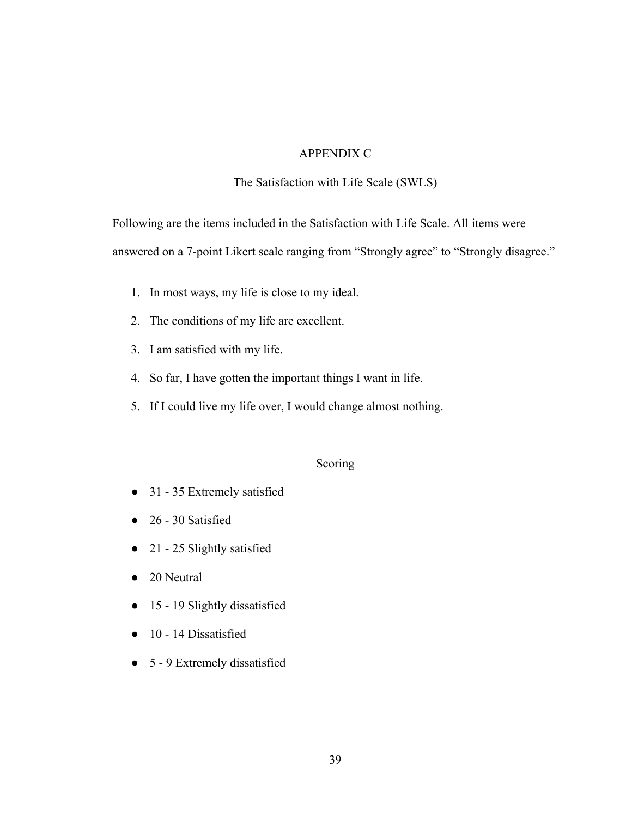## APPENDIX C

### The Satisfaction with Life Scale (SWLS)

Following are the items included in the Satisfaction with Life Scale. All items were answered on a 7-point Likert scale ranging from "Strongly agree" to "Strongly disagree."

- 1. In most ways, my life is close to my ideal.
- 2. The conditions of my life are excellent.
- 3. I am satisfied with my life.
- 4. So far, I have gotten the important things I want in life.
- 5. If I could live my life over, I would change almost nothing.

#### Scoring

- 31 35 Extremely satisfied
- $\bullet$  26 30 Satisfied
- 21 25 Slightly satisfied
- 20 Neutral
- 15 19 Slightly dissatisfied
- 10 14 Dissatisfied
- 5 9 Extremely dissatisfied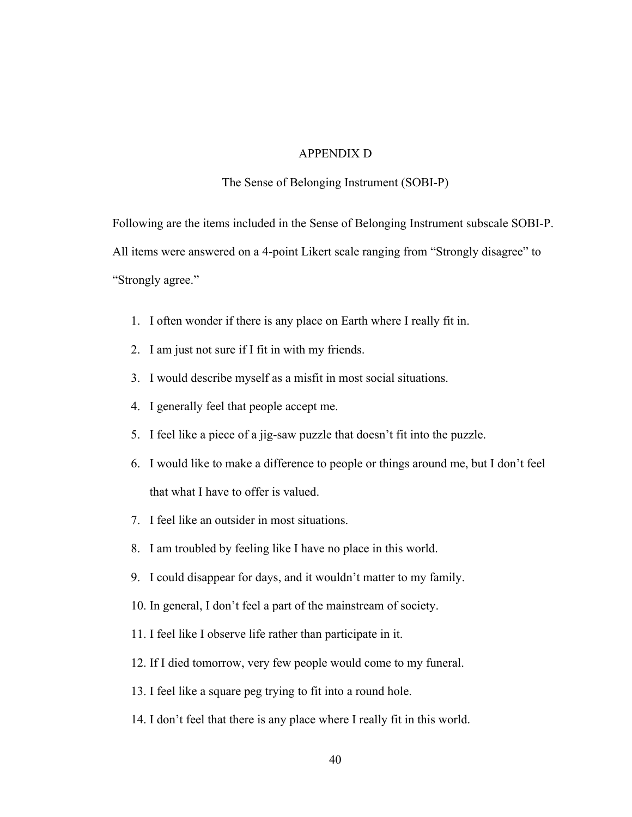## APPENDIX D

#### The Sense of Belonging Instrument (SOBI-P)

Following are the items included in the Sense of Belonging Instrument subscale SOBI-P. All items were answered on a 4-point Likert scale ranging from "Strongly disagree" to "Strongly agree."

- 1. I often wonder if there is any place on Earth where I really fit in.
- 2. I am just not sure if I fit in with my friends.
- 3. I would describe myself as a misfit in most social situations.
- 4. I generally feel that people accept me.
- 5. I feel like a piece of a jig-saw puzzle that doesn't fit into the puzzle.
- 6. I would like to make a difference to people or things around me, but I don't feel that what I have to offer is valued.
- 7. I feel like an outsider in most situations.
- 8. I am troubled by feeling like I have no place in this world.
- 9. I could disappear for days, and it wouldn't matter to my family.
- 10. In general, I don't feel a part of the mainstream of society.
- 11. I feel like I observe life rather than participate in it.
- 12. If I died tomorrow, very few people would come to my funeral.
- 13. I feel like a square peg trying to fit into a round hole.
- 14. I don't feel that there is any place where I really fit in this world.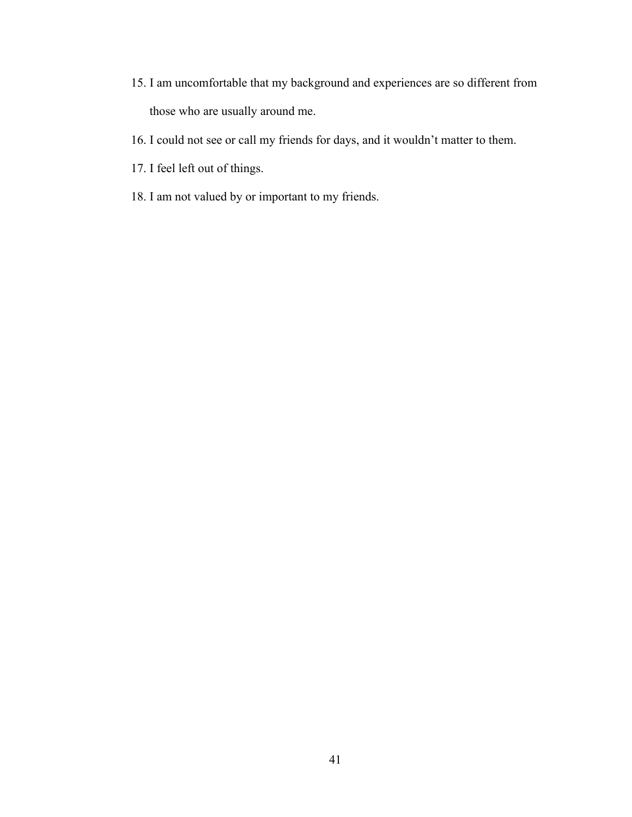- 15. I am uncomfortable that my background and experiences are so different from those who are usually around me.
- 16. I could not see or call my friends for days, and it wouldn't matter to them.
- 17. I feel left out of things.
- 18. I am not valued by or important to my friends.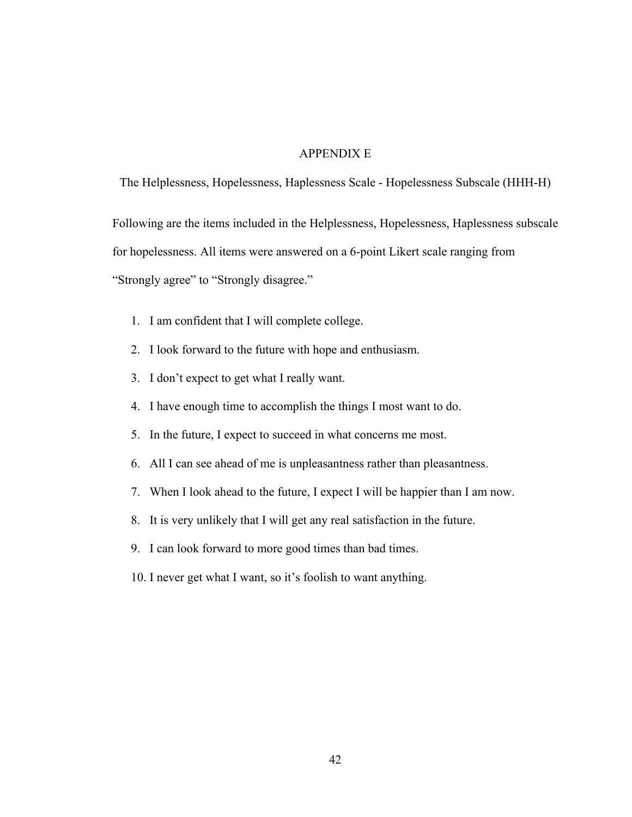## APPENDIX E

The Helplessness, Hopelessness, Haplessness Scale - Hopelessness Subscale (HHH-H)

Following are the items included in the Helplessness, Hopelessness, Haplessness subscale for hopelessness. All items were answered on a 6-point Likert scale ranging from "Strongly agree" to "Strongly disagree."

- 1. I am confident that I will complete college.
- 2. I look forward to the future with hope and enthusiasm.
- 3. I don't expect to get what I really want.
- 4. I have enough time to accomplish the things I most want to do.
- 5. In the future, I expect to succeed in what concerns me most.
- 6. All I can see ahead of me is unpleasantness rather than pleasantness.
- 7. When I look ahead to the future, I expect I will be happier than I am now.
- 8. It is very unlikely that I will get any real satisfaction in the future.
- 9. I can look forward to more good times than bad times.
- 10. I never get what I want, so it's foolish to want anything.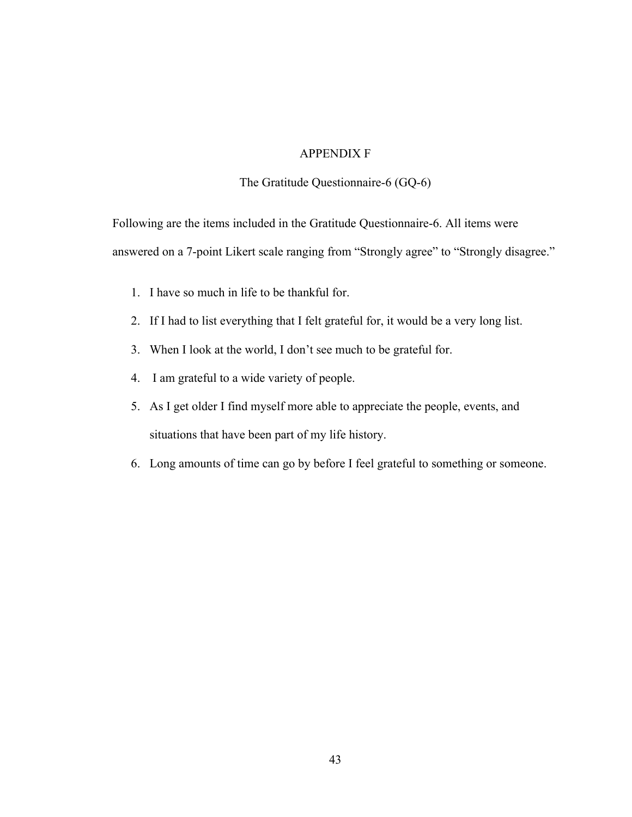### APPENDIX F

The Gratitude Questionnaire-6 (GQ-6)

Following are the items included in the Gratitude Questionnaire-6. All items were answered on a 7-point Likert scale ranging from "Strongly agree" to "Strongly disagree."

- 1. I have so much in life to be thankful for.
- 2. If I had to list everything that I felt grateful for, it would be a very long list.
- 3. When I look at the world, I don't see much to be grateful for.
- 4. I am grateful to a wide variety of people.
- 5. As I get older I find myself more able to appreciate the people, events, and situations that have been part of my life history.
- 6. Long amounts of time can go by before I feel grateful to something or someone.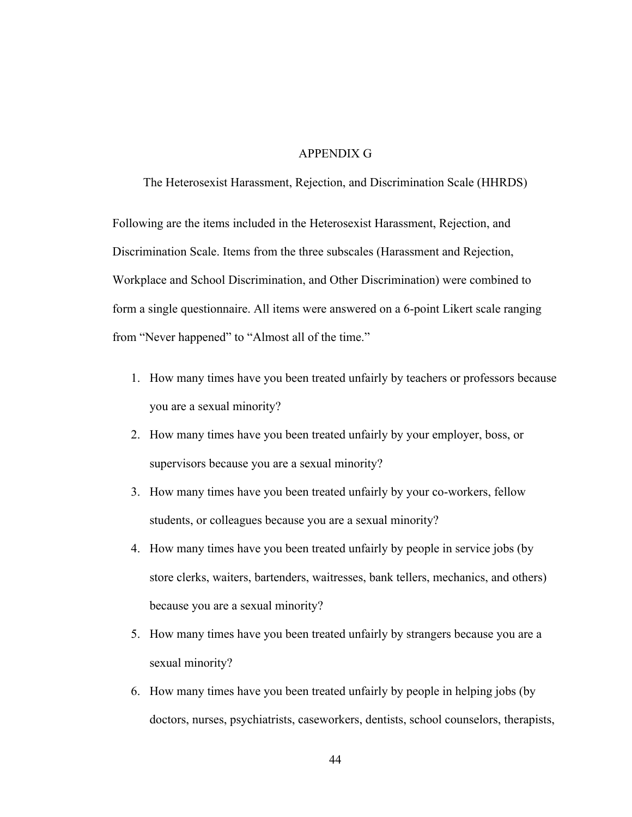## APPENDIX G

The Heterosexist Harassment, Rejection, and Discrimination Scale (HHRDS)

Following are the items included in the Heterosexist Harassment, Rejection, and Discrimination Scale. Items from the three subscales (Harassment and Rejection, Workplace and School Discrimination, and Other Discrimination) were combined to form a single questionnaire. All items were answered on a 6-point Likert scale ranging from "Never happened" to "Almost all of the time."

- 1. How many times have you been treated unfairly by teachers or professors because you are a sexual minority?
- 2. How many times have you been treated unfairly by your employer, boss, or supervisors because you are a sexual minority?
- 3. How many times have you been treated unfairly by your co-workers, fellow students, or colleagues because you are a sexual minority?
- 4. How many times have you been treated unfairly by people in service jobs (by store clerks, waiters, bartenders, waitresses, bank tellers, mechanics, and others) because you are a sexual minority?
- 5. How many times have you been treated unfairly by strangers because you are a sexual minority?
- 6. How many times have you been treated unfairly by people in helping jobs (by doctors, nurses, psychiatrists, caseworkers, dentists, school counselors, therapists,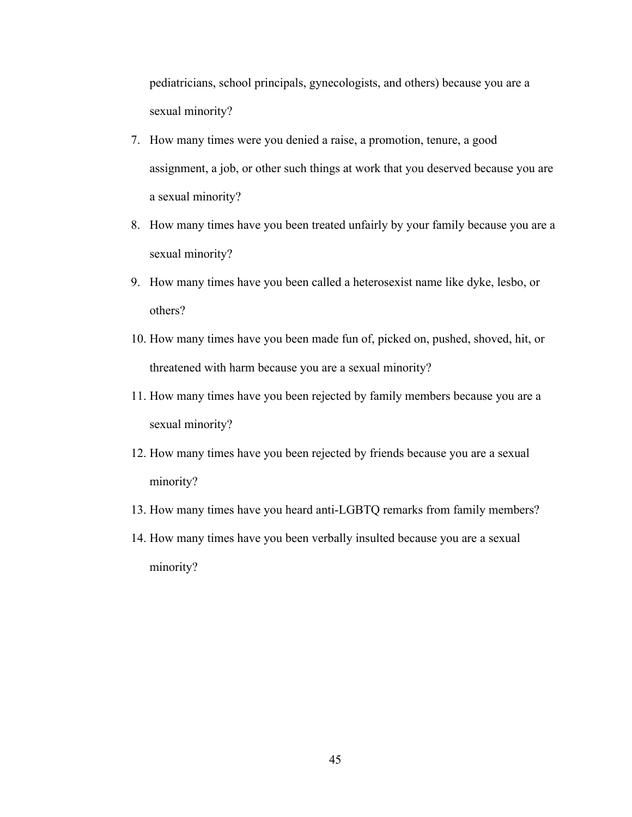pediatricians, school principals, gynecologists, and others) because you are a sexual minority?

- 7. How many times were you denied a raise, a promotion, tenure, a good assignment, a job, or other such things at work that you deserved because you are a sexual minority?
- 8. How many times have you been treated unfairly by your family because you are a sexual minority?
- 9. How many times have you been called a heterosexist name like dyke, lesbo, or others?
- 10. How many times have you been made fun of, picked on, pushed, shoved, hit, or threatened with harm because you are a sexual minority?
- 11. How many times have you been rejected by family members because you are a sexual minority?
- 12. How many times have you been rejected by friends because you are a sexual minority?
- 13. How many times have you heard anti-LGBTQ remarks from family members?
- 14. How many times have you been verbally insulted because you are a sexual minority?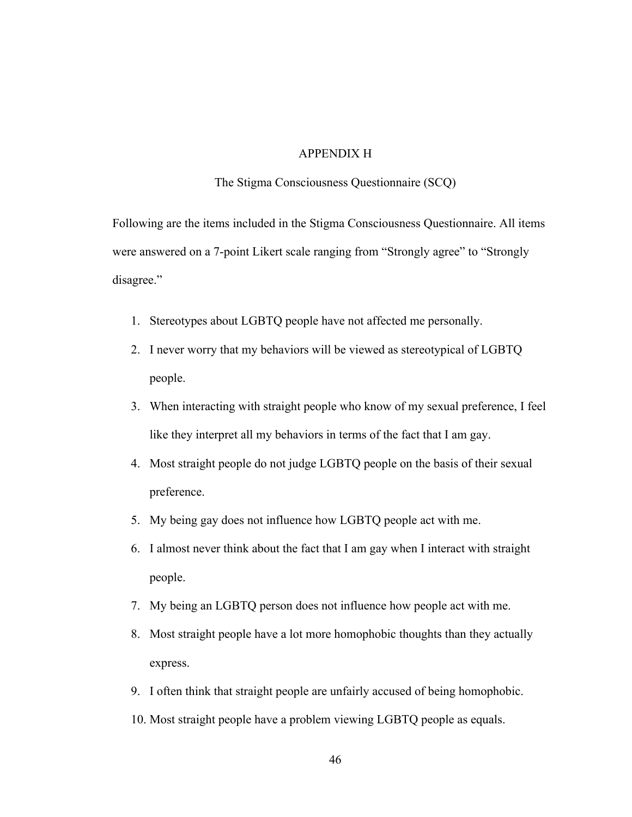## APPENDIX H

#### The Stigma Consciousness Questionnaire (SCQ)

Following are the items included in the Stigma Consciousness Questionnaire. All items were answered on a 7-point Likert scale ranging from "Strongly agree" to "Strongly disagree."

- 1. Stereotypes about LGBTQ people have not affected me personally.
- 2. I never worry that my behaviors will be viewed as stereotypical of LGBTQ people.
- 3. When interacting with straight people who know of my sexual preference, I feel like they interpret all my behaviors in terms of the fact that I am gay.
- 4. Most straight people do not judge LGBTQ people on the basis of their sexual preference.
- 5. My being gay does not influence how LGBTQ people act with me.
- 6. I almost never think about the fact that I am gay when I interact with straight people.
- 7. My being an LGBTQ person does not influence how people act with me.
- 8. Most straight people have a lot more homophobic thoughts than they actually express.
- 9. I often think that straight people are unfairly accused of being homophobic.
- 10. Most straight people have a problem viewing LGBTQ people as equals.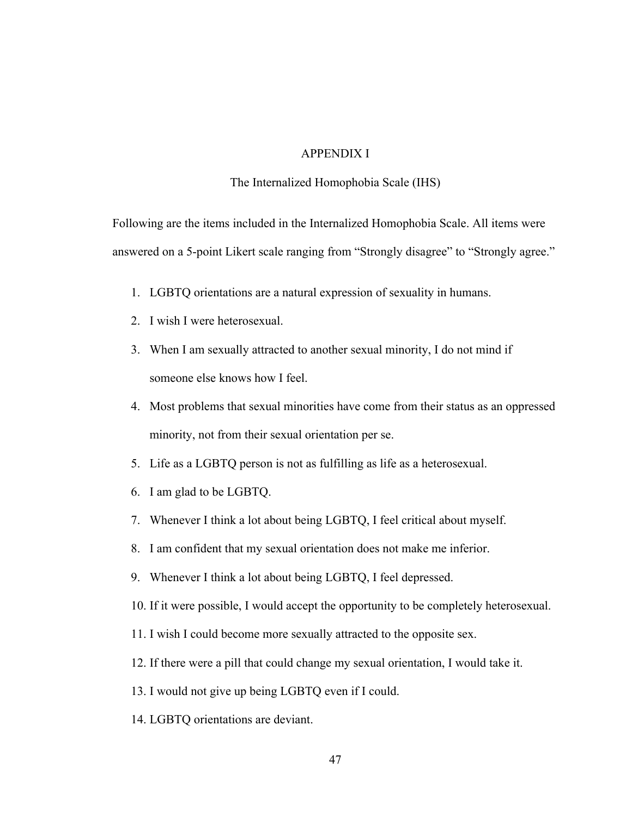## APPENDIX I

#### The Internalized Homophobia Scale (IHS)

Following are the items included in the Internalized Homophobia Scale. All items were answered on a 5-point Likert scale ranging from "Strongly disagree" to "Strongly agree."

- 1. LGBTQ orientations are a natural expression of sexuality in humans.
- 2. I wish I were heterosexual.
- 3. When I am sexually attracted to another sexual minority, I do not mind if someone else knows how I feel.
- 4. Most problems that sexual minorities have come from their status as an oppressed minority, not from their sexual orientation per se.
- 5. Life as a LGBTQ person is not as fulfilling as life as a heterosexual.
- 6. I am glad to be LGBTQ.
- 7. Whenever I think a lot about being LGBTQ, I feel critical about myself.
- 8. I am confident that my sexual orientation does not make me inferior.
- 9. Whenever I think a lot about being LGBTQ, I feel depressed.
- 10. If it were possible, I would accept the opportunity to be completely heterosexual.
- 11. I wish I could become more sexually attracted to the opposite sex.
- 12. If there were a pill that could change my sexual orientation, I would take it.
- 13. I would not give up being LGBTQ even if I could.
- 14. LGBTQ orientations are deviant.